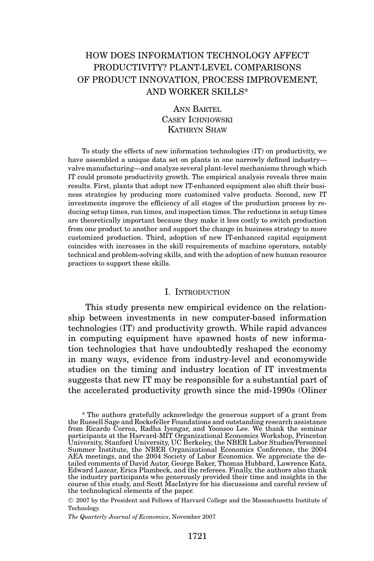# HOW DOES INFORMATION TECHNOLOGY AFFECT PRODUCTIVITY? PLANT-LEVEL COMPARISONS OF PRODUCT INNOVATION, PROCESS IMPROVEMENT, AND WORKER SKILLS\*

# ANN BARTEL CASEY ICHNIOWSKI KATHRYN SHAW

To study the effects of new information technologies (IT) on productivity, we have assembled a unique data set on plants in one narrowly defined industry valve manufacturing—and analyze several plant-level mechanisms through which IT could promote productivity growth. The empirical analysis reveals three main results. First, plants that adopt new IT-enhanced equipment also shift their business strategies by producing more customized valve products. Second, new IT investments improve the efficiency of all stages of the production process by reducing setup times, run times, and inspection times. The reductions in setup times are theoretically important because they make it less costly to switch production from one product to another and support the change in business strategy to more customized production. Third, adoption of new IT-enhanced capital equipment coincides with increases in the skill requirements of machine operators, notably technical and problem-solving skills, and with the adoption of new human resource practices to support these skills.

## I. INTRODUCTION

This study presents new empirical evidence on the relationship between investments in new computer-based information technologies (IT) and productivity growth. While rapid advances in computing equipment have spawned hosts of new information technologies that have undoubtedly reshaped the economy in many ways, evidence from industry-level and economywide studies on the timing and industry location of IT investments suggests that new IT may be responsible for a substantial part of the accelerated productivity growth since the mid-1990s (Oliner

<sup>C</sup> 2007 by the President and Fellows of Harvard College and the Massachusetts Institute of Technology.

*The Quarterly Journal of Economics*, November 2007

<sup>\*</sup> The authors gratefully acknowledge the generous support of a grant from the Russell Sage and Rockefeller Foundations and outstanding research assistance from Ricardo Correa, Radha Iyengar, and Yoonsoo Lee. We thank the seminar participants at the Harvard-MIT Organizational Economics Workshop, Princeton<br>University, Stanford University, UC Berkeley, the NBER Labor Studies/Personnel<br>Summer Institute, the NBER Organizational Economics Conference, th Edward Lazear, Erica Plambeck, and the referees. Finally, the authors also thank the industry participants who generously provided their time and insights in the course of this study, and Scott MacIntyre for his discussions and careful review of the technological elements of the paper.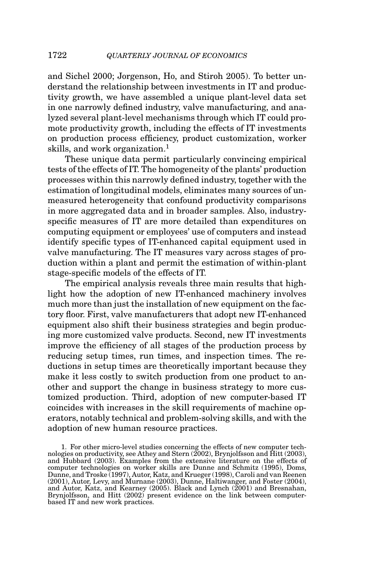and Sichel 2000; Jorgenson, Ho, and Stiroh 2005). To better understand the relationship between investments in IT and productivity growth, we have assembled a unique plant-level data set in one narrowly defined industry, valve manufacturing, and analyzed several plant-level mechanisms through which IT could promote productivity growth, including the effects of IT investments on production process efficiency, product customization, worker skills, and work organization.<sup>1</sup>

These unique data permit particularly convincing empirical tests of the effects of IT. The homogeneity of the plants' production processes within this narrowly defined industry, together with the estimation of longitudinal models, eliminates many sources of unmeasured heterogeneity that confound productivity comparisons in more aggregated data and in broader samples. Also, industryspecific measures of IT are more detailed than expenditures on computing equipment or employees' use of computers and instead identify specific types of IT-enhanced capital equipment used in valve manufacturing. The IT measures vary across stages of production within a plant and permit the estimation of within-plant stage-specific models of the effects of IT.

The empirical analysis reveals three main results that highlight how the adoption of new IT-enhanced machinery involves much more than just the installation of new equipment on the factory floor. First, valve manufacturers that adopt new IT-enhanced equipment also shift their business strategies and begin producing more customized valve products. Second, new IT investments improve the efficiency of all stages of the production process by reducing setup times, run times, and inspection times. The reductions in setup times are theoretically important because they make it less costly to switch production from one product to another and support the change in business strategy to more customized production. Third, adoption of new computer-based IT coincides with increases in the skill requirements of machine operators, notably technical and problem-solving skills, and with the adoption of new human resource practices.

<sup>1.</sup> For other micro-level studies concerning the effects of new computer technologies on productivity, see Athey and Stern (2002), Brynjolfsson and Hitt (2003), and Hubbard (2003). Examples from the extensive literature on the effects of computer technologies on worker skills are Dunne and Schmitz (1995), Doms, Dunne, and Troske (1997), Autor, Katz, and Krueger (1998), Caroli and van Reenen (2001), Autor, Levy, and Murnane (2003), Dunne, Haltiwanger, and Foster (2004), and Autor, Katz, and Kearney (2005). Black and Lynch (2001) and Bresnahan, Brynjolfsson, and Hitt (2002) present evidence on the link between computerbased IT and new work practices.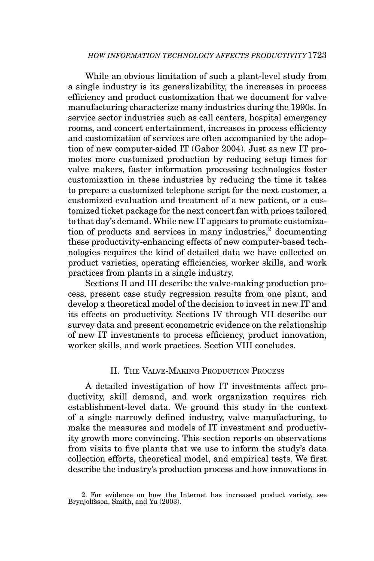#### *HOW INFORMATION TECHNOLOGY AFFECTS PRODUCTIVITY*1723

While an obvious limitation of such a plant-level study from a single industry is its generalizability, the increases in process efficiency and product customization that we document for valve manufacturing characterize many industries during the 1990s. In service sector industries such as call centers, hospital emergency rooms, and concert entertainment, increases in process efficiency and customization of services are often accompanied by the adoption of new computer-aided IT (Gabor 2004). Just as new IT promotes more customized production by reducing setup times for valve makers, faster information processing technologies foster customization in these industries by reducing the time it takes to prepare a customized telephone script for the next customer, a customized evaluation and treatment of a new patient, or a customized ticket package for the next concert fan with prices tailored to that day's demand. While new IT appears to promote customization of products and services in many industries,<sup>2</sup> documenting these productivity-enhancing effects of new computer-based technologies requires the kind of detailed data we have collected on product varieties, operating efficiencies, worker skills, and work practices from plants in a single industry.

Sections II and III describe the valve-making production process, present case study regression results from one plant, and develop a theoretical model of the decision to invest in new IT and its effects on productivity. Sections IV through VII describe our survey data and present econometric evidence on the relationship of new IT investments to process efficiency, product innovation, worker skills, and work practices. Section VIII concludes.

## II. THE VALVE-MAKING PRODUCTION PROCESS

A detailed investigation of how IT investments affect productivity, skill demand, and work organization requires rich establishment-level data. We ground this study in the context of a single narrowly defined industry, valve manufacturing, to make the measures and models of IT investment and productivity growth more convincing. This section reports on observations from visits to five plants that we use to inform the study's data collection efforts, theoretical model, and empirical tests. We first describe the industry's production process and how innovations in

<sup>2.</sup> For evidence on how the Internet has increased product variety, see Brynjolfsson, Smith, and Yu (2003).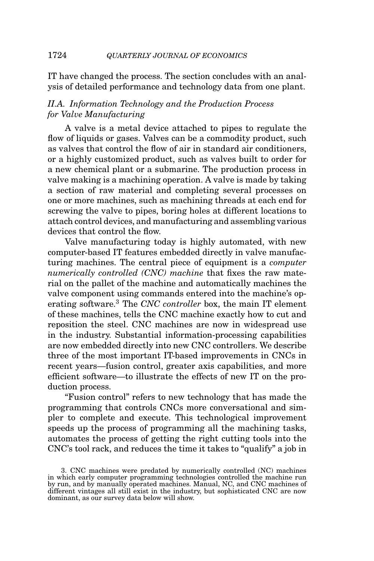IT have changed the process. The section concludes with an analysis of detailed performance and technology data from one plant.

# *II.A. Information Technology and the Production Process for Valve Manufacturing*

A valve is a metal device attached to pipes to regulate the flow of liquids or gases. Valves can be a commodity product, such as valves that control the flow of air in standard air conditioners, or a highly customized product, such as valves built to order for a new chemical plant or a submarine. The production process in valve making is a machining operation. A valve is made by taking a section of raw material and completing several processes on one or more machines, such as machining threads at each end for screwing the valve to pipes, boring holes at different locations to attach control devices, and manufacturing and assembling various devices that control the flow.

Valve manufacturing today is highly automated, with new computer-based IT features embedded directly in valve manufacturing machines. The central piece of equipment is a *computer numerically controlled (CNC) machine* that fixes the raw material on the pallet of the machine and automatically machines the valve component using commands entered into the machine's operating software.3 The *CNC controller* box, the main IT element of these machines, tells the CNC machine exactly how to cut and reposition the steel. CNC machines are now in widespread use in the industry. Substantial information-processing capabilities are now embedded directly into new CNC controllers. We describe three of the most important IT-based improvements in CNCs in recent years—fusion control, greater axis capabilities, and more efficient software—to illustrate the effects of new IT on the production process.

"Fusion control" refers to new technology that has made the programming that controls CNCs more conversational and simpler to complete and execute. This technological improvement speeds up the process of programming all the machining tasks, automates the process of getting the right cutting tools into the CNC's tool rack, and reduces the time it takes to "qualify" a job in

<sup>3.</sup> CNC machines were predated by numerically controlled (NC) machines in which early computer programming technologies controlled the machine run by run, and by manually operated machines. Manual, NC, and CNC machines of different vintages all still exist in the industry, but sophisticated CNC are now dominant, as our survey data below will show.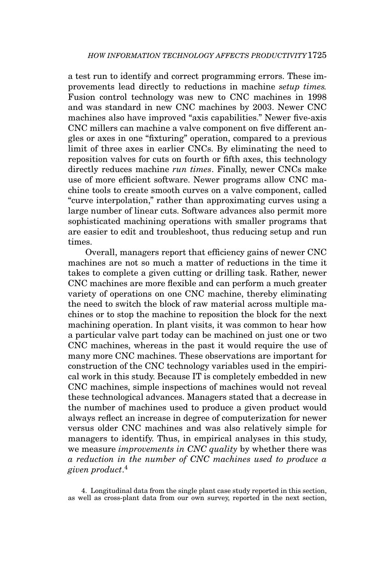a test run to identify and correct programming errors. These improvements lead directly to reductions in machine *setup times.* Fusion control technology was new to CNC machines in 1998 and was standard in new CNC machines by 2003. Newer CNC machines also have improved "axis capabilities." Newer five-axis CNC millers can machine a valve component on five different angles or axes in one "fixturing" operation, compared to a previous limit of three axes in earlier CNCs. By eliminating the need to reposition valves for cuts on fourth or fifth axes, this technology directly reduces machine *run times*. Finally, newer CNCs make use of more efficient software. Newer programs allow CNC machine tools to create smooth curves on a valve component, called "curve interpolation," rather than approximating curves using a large number of linear cuts. Software advances also permit more sophisticated machining operations with smaller programs that are easier to edit and troubleshoot, thus reducing setup and run times.

Overall, managers report that efficiency gains of newer CNC machines are not so much a matter of reductions in the time it takes to complete a given cutting or drilling task. Rather, newer CNC machines are more flexible and can perform a much greater variety of operations on one CNC machine, thereby eliminating the need to switch the block of raw material across multiple machines or to stop the machine to reposition the block for the next machining operation. In plant visits, it was common to hear how a particular valve part today can be machined on just one or two CNC machines, whereas in the past it would require the use of many more CNC machines. These observations are important for construction of the CNC technology variables used in the empirical work in this study. Because IT is completely embedded in new CNC machines, simple inspections of machines would not reveal these technological advances. Managers stated that a decrease in the number of machines used to produce a given product would always reflect an increase in degree of computerization for newer versus older CNC machines and was also relatively simple for managers to identify. Thus, in empirical analyses in this study, we measure *improvements in CNC quality* by whether there was *a reduction in the number of CNC machines used to produce a given product*. 4

4. Longitudinal data from the single plant case study reported in this section, as well as cross-plant data from our own survey, reported in the next section,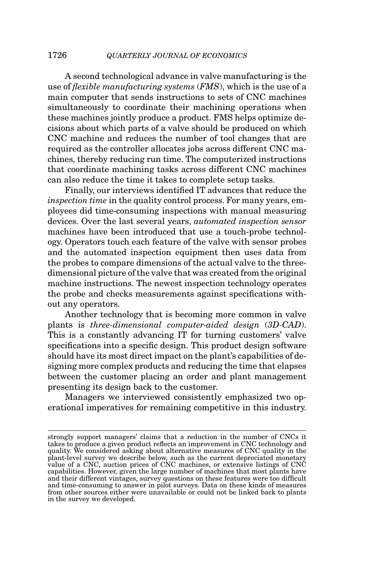A second technological advance in valve manufacturing is the use of *flexible manufacturing systems* (*FMS*), which is the use of a main computer that sends instructions to sets of CNC machines simultaneously to coordinate their machining operations when these machines jointly produce a product. FMS helps optimize decisions about which parts of a valve should be produced on which CNC machine and reduces the number of tool changes that are required as the controller allocates jobs across different CNC machines, thereby reducing run time. The computerized instructions that coordinate machining tasks across different CNC machines can also reduce the time it takes to complete setup tasks.

Finally, our interviews identified IT advances that reduce the *inspection time* in the quality control process. For many years, employees did time-consuming inspections with manual measuring devices. Over the last several years, *automated inspection sensor* machines have been introduced that use a touch-probe technology. Operators touch each feature of the valve with sensor probes and the automated inspection equipment then uses data from the probes to compare dimensions of the actual valve to the threedimensional picture of the valve that was created from the original machine instructions. The newest inspection technology operates the probe and checks measurements against specifications without any operators.

Another technology that is becoming more common in valve plants is *three-dimensional computer-aided design* (*3D-CAD*). This is a constantly advancing IT for turning customers' valve specifications into a specific design. This product design software should have its most direct impact on the plant's capabilities of designing more complex products and reducing the time that elapses between the customer placing an order and plant management presenting its design back to the customer.

Managers we interviewed consistently emphasized two operational imperatives for remaining competitive in this industry.

strongly support managers' claims that a reduction in the number of CNCs it takes to produce a given product reflects an improvement in CNC technology and quality. We considered asking about alternative measures of CNC quality in the plant-level survey we describe below, such as the current depreciated monetary value of a CNC, auction prices of CNC machines, or extensive listings of CNC capabilities. However, given the large number of machines that most plants have and their different vintages, survey questions on these features were too difficult and time-consuming to answer in pilot surveys. Data on these kinds of measures from other sources either were unavailable or could not be linked back to plants in the survey we developed.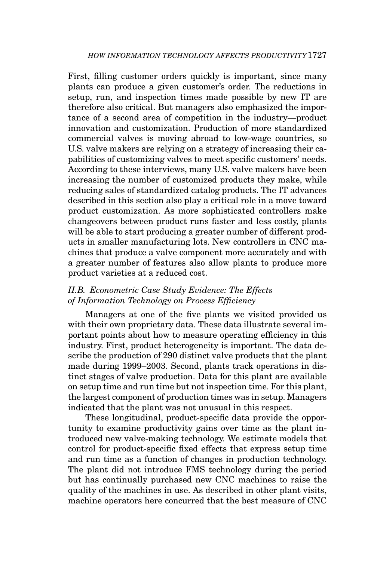First, filling customer orders quickly is important, since many plants can produce a given customer's order. The reductions in setup, run, and inspection times made possible by new IT are therefore also critical. But managers also emphasized the importance of a second area of competition in the industry—product innovation and customization. Production of more standardized commercial valves is moving abroad to low-wage countries, so U.S. valve makers are relying on a strategy of increasing their capabilities of customizing valves to meet specific customers' needs. According to these interviews, many U.S. valve makers have been increasing the number of customized products they make, while reducing sales of standardized catalog products. The IT advances described in this section also play a critical role in a move toward product customization. As more sophisticated controllers make changeovers between product runs faster and less costly, plants will be able to start producing a greater number of different products in smaller manufacturing lots. New controllers in CNC machines that produce a valve component more accurately and with a greater number of features also allow plants to produce more product varieties at a reduced cost.

# *II.B. Econometric Case Study Evidence: The Effects of Information Technology on Process Efficiency*

Managers at one of the five plants we visited provided us with their own proprietary data. These data illustrate several important points about how to measure operating efficiency in this industry. First, product heterogeneity is important. The data describe the production of 290 distinct valve products that the plant made during 1999–2003. Second, plants track operations in distinct stages of valve production. Data for this plant are available on setup time and run time but not inspection time. For this plant, the largest component of production times was in setup. Managers indicated that the plant was not unusual in this respect.

These longitudinal, product-specific data provide the opportunity to examine productivity gains over time as the plant introduced new valve-making technology. We estimate models that control for product-specific fixed effects that express setup time and run time as a function of changes in production technology. The plant did not introduce FMS technology during the period but has continually purchased new CNC machines to raise the quality of the machines in use. As described in other plant visits, machine operators here concurred that the best measure of CNC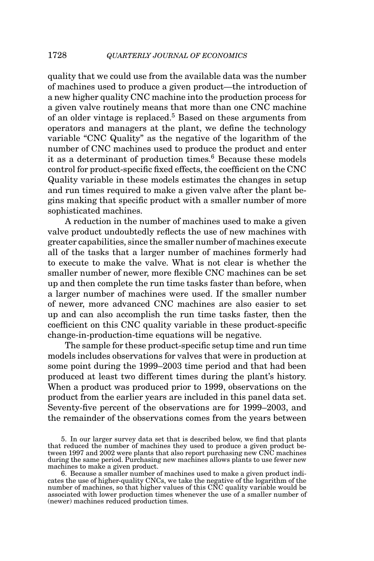quality that we could use from the available data was the number of machines used to produce a given product—the introduction of a new higher quality CNC machine into the production process for a given valve routinely means that more than one CNC machine of an older vintage is replaced.5 Based on these arguments from operators and managers at the plant, we define the technology variable "CNC Quality" as the negative of the logarithm of the number of CNC machines used to produce the product and enter it as a determinant of production times.<sup>6</sup> Because these models control for product-specific fixed effects, the coefficient on the CNC Quality variable in these models estimates the changes in setup and run times required to make a given valve after the plant begins making that specific product with a smaller number of more sophisticated machines.

A reduction in the number of machines used to make a given valve product undoubtedly reflects the use of new machines with greater capabilities, since the smaller number of machines execute all of the tasks that a larger number of machines formerly had to execute to make the valve. What is not clear is whether the smaller number of newer, more flexible CNC machines can be set up and then complete the run time tasks faster than before, when a larger number of machines were used. If the smaller number of newer, more advanced CNC machines are also easier to set up and can also accomplish the run time tasks faster, then the coefficient on this CNC quality variable in these product-specific change-in-production-time equations will be negative.

The sample for these product-specific setup time and run time models includes observations for valves that were in production at some point during the 1999–2003 time period and that had been produced at least two different times during the plant's history. When a product was produced prior to 1999, observations on the product from the earlier years are included in this panel data set. Seventy-five percent of the observations are for 1999–2003, and the remainder of the observations comes from the years between

<sup>5.</sup> In our larger survey data set that is described below, we find that plants that reduced the number of machines they used to produce a given product between 1997 and 2002 were plants that also report purchasing new CNC machines during the same period. Purchasing new machines allows plants to use fewer new machines to make a given product.

<sup>6.</sup> Because a smaller number of machines used to make a given product indicates the use of higher-quality CNCs, we take the negative of the logarithm of the number of machines, so that higher values of this CNC quality variable would be associated with lower production times whenever the use of a smaller number of (newer) machines reduced production times.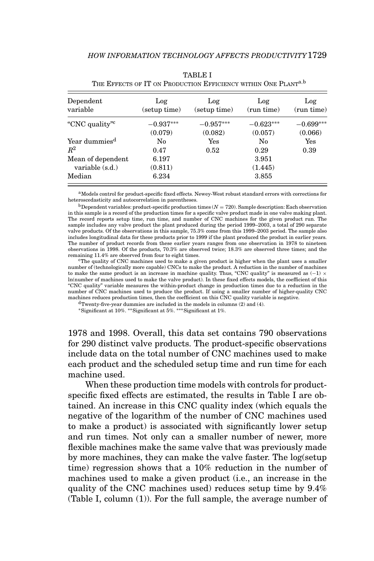| Dependent                            | Log              | Log          | Log              | Log         |
|--------------------------------------|------------------|--------------|------------------|-------------|
| variable                             | (setup time)     | (setup time) | (run time)       | (run time)  |
| "CNC quality"                        | $-0.937***$      | $-0.957***$  | $-0.623***$      | $-0.699***$ |
|                                      | (0.079)          | (0.082)      | (0.057)          | (0.066)     |
| Year dummies <sup>d</sup>            | No               | Yes          | No               | Yes         |
| $\,R^2$                              | 0.47             | 0.52         | 0.29             | 0.39        |
| Mean of dependent<br>variable (s.d.) | 6.197<br>(0.811) |              | 3.951<br>(1.445) |             |
| Median                               | 6.234            |              | 3.855            |             |

TABLE I THE EFFECTS OF IT ON PRODUCTION EFFICIENCY WITHIN ONE PLANT<sup>a,b</sup>

aModels control for product-specific fixed effects. Newey-West robust standard errors with corrections for heteroscedasticity and autocorrelation in parentheses.

bDependent variables: product-specific production times (*<sup>N</sup>* <sup>=</sup> 720). Sample description: Each observation in this sample is a record of the production times for a specific valve product made in one valve making plant. The record reports setup time, run time, and number of CNC machines for the given product run. The sample includes any valve product the plant produced during the period 1999–2003, a total of 290 separate valve products. Of the observations in this sample, 75.3% come from this 1999–2003 period. The sample also includes longitudinal data for these products prior to 1999 if the plant produced the product in earlier years. The number of product records from these earlier years ranges from one observation in 1978 to nineteen observations in 1998. Of the products, 70.3% are observed twice; 18.3% are observed three times; and the remaining 11.4% are observed from four to eight times.<br><sup>c</sup>The quality of CNC machines used to make a given product is higher when the plant uses a smaller

number of (technologically more capable) CNCs to make the product. A reduction in the number of machines to make the same product is an increase in machine quality. Thus, "CNC quality" is measured as (−1) × ln(number of machines used to make the valve product). In these fixed effects models, the coefficient of this "CNC quality" variable measures the within-product change in production times due to a reduction in the number of CNC machines used to produce the product. If using a smaller number of higher-quality CNC machines reduces production times, then the coefficient on this CNC quality variable is negative.

dTwenty-five-year dummies are included in the models in columns (2) and (4).

∗Significant at 10%. ∗∗Significant at 5%. ∗∗∗Significant at 1%.

1978 and 1998. Overall, this data set contains 790 observations for 290 distinct valve products. The product-specific observations include data on the total number of CNC machines used to make each product and the scheduled setup time and run time for each machine used.

When these production time models with controls for productspecific fixed effects are estimated, the results in Table I are obtained. An increase in this CNC quality index (which equals the negative of the logarithm of the number of CNC machines used to make a product) is associated with significantly lower setup and run times. Not only can a smaller number of newer, more flexible machines make the same valve that was previously made by more machines, they can make the valve faster. The log(setup time) regression shows that a 10% reduction in the number of machines used to make a given product (i.e., an increase in the quality of the CNC machines used) reduces setup time by 9.4% (Table I, column (1)). For the full sample, the average number of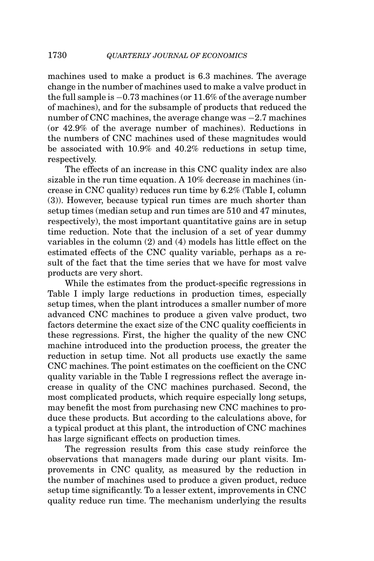machines used to make a product is 6.3 machines. The average change in the number of machines used to make a valve product in the full sample is −0.73 machines (or 11.6% of the average number of machines), and for the subsample of products that reduced the number of CNC machines, the average change was  $-2.7$  machines (or 42.9% of the average number of machines). Reductions in the numbers of CNC machines used of these magnitudes would be associated with 10.9% and 40.2% reductions in setup time, respectively.

The effects of an increase in this CNC quality index are also sizable in the run time equation. A 10% decrease in machines (increase in CNC quality) reduces run time by 6.2% (Table I, column (3)). However, because typical run times are much shorter than setup times (median setup and run times are 510 and 47 minutes, respectively), the most important quantitative gains are in setup time reduction. Note that the inclusion of a set of year dummy variables in the column (2) and (4) models has little effect on the estimated effects of the CNC quality variable, perhaps as a result of the fact that the time series that we have for most valve products are very short.

While the estimates from the product-specific regressions in Table I imply large reductions in production times, especially setup times, when the plant introduces a smaller number of more advanced CNC machines to produce a given valve product, two factors determine the exact size of the CNC quality coefficients in these regressions. First, the higher the quality of the new CNC machine introduced into the production process, the greater the reduction in setup time. Not all products use exactly the same CNC machines. The point estimates on the coefficient on the CNC quality variable in the Table I regressions reflect the average increase in quality of the CNC machines purchased. Second, the most complicated products, which require especially long setups, may benefit the most from purchasing new CNC machines to produce these products. But according to the calculations above, for a typical product at this plant, the introduction of CNC machines has large significant effects on production times.

The regression results from this case study reinforce the observations that managers made during our plant visits. Improvements in CNC quality, as measured by the reduction in the number of machines used to produce a given product, reduce setup time significantly. To a lesser extent, improvements in CNC quality reduce run time. The mechanism underlying the results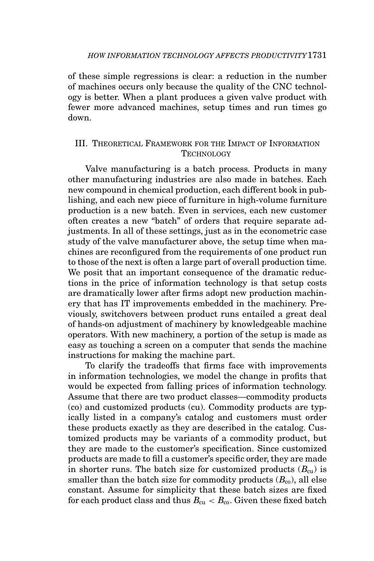of these simple regressions is clear: a reduction in the number of machines occurs only because the quality of the CNC technology is better. When a plant produces a given valve product with fewer more advanced machines, setup times and run times go down.

# III. THEORETICAL FRAMEWORK FOR THE IMPACT OF INFORMATION **TECHNOLOGY**

Valve manufacturing is a batch process. Products in many other manufacturing industries are also made in batches. Each new compound in chemical production, each different book in publishing, and each new piece of furniture in high-volume furniture production is a new batch. Even in services, each new customer often creates a new "batch" of orders that require separate adjustments. In all of these settings, just as in the econometric case study of the valve manufacturer above, the setup time when machines are reconfigured from the requirements of one product run to those of the next is often a large part of overall production time. We posit that an important consequence of the dramatic reductions in the price of information technology is that setup costs are dramatically lower after firms adopt new production machinery that has IT improvements embedded in the machinery. Previously, switchovers between product runs entailed a great deal of hands-on adjustment of machinery by knowledgeable machine operators. With new machinery, a portion of the setup is made as easy as touching a screen on a computer that sends the machine instructions for making the machine part.

To clarify the tradeoffs that firms face with improvements in information technologies, we model the change in profits that would be expected from falling prices of information technology. Assume that there are two product classes—commodity products (co) and customized products (cu). Commodity products are typically listed in a company's catalog and customers must order these products exactly as they are described in the catalog. Customized products may be variants of a commodity product, but they are made to the customer's specification. Since customized products are made to fill a customer's specific order, they are made in shorter runs. The batch size for customized products  $(B_{\rm cu})$  is smaller than the batch size for commodity products  $(B_{\rm co})$ , all else constant. Assume for simplicity that these batch sizes are fixed for each product class and thus  $B_{\rm cu} < B_{\rm co}$ . Given these fixed batch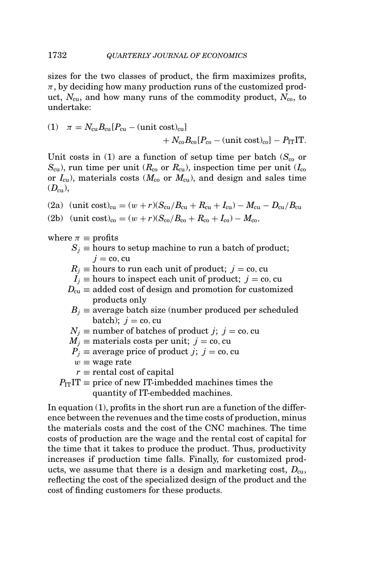sizes for the two classes of product, the firm maximizes profits,  $\pi$ , by deciding how many production runs of the customized product,  $N_{\rm cu}$ , and how many runs of the commodity product,  $N_{\rm co}$ , to undertake:

(1) 
$$
\pi = N_{\text{cu}} B_{\text{cu}} [P_{\text{cu}} - (\text{unit cost})_{\text{cu}}] + N_{\text{co}} B_{\text{co}} [P_{\text{co}} - (\text{unit cost})_{\text{co}}] - P_{\text{IT}} \text{IT}.
$$

Unit costs in (1) are a function of setup time per batch  $(S_{c0}$  or  $S_{\text{cu}}$ ), run time per unit ( $R_{\text{co}}$  or  $R_{\text{cu}}$ ), inspection time per unit ( $I_{\text{co}}$ ) or  $I_{\rm cu}$ ), materials costs ( $M_{\rm co}$  or  $M_{\rm cu}$ ), and design and sales time  $(D_{\rm cu})$ ,

(2a) (unit cost)<sub>cu</sub> = 
$$
(w + r)(S_{cu}/B_{cu} + R_{cu} + I_{cu}) - M_{cu} - D_{cu}/B_{cu}
$$
  
(2b) (unit cost)<sub>co</sub> =  $(w + r)(S_{co}/B_{co} + R_{co} + I_{co}) - M_{co}$ ,

where  $\pi \equiv$  profits

- $S_i$  ≡ hours to setup machine to run a batch of product;  $j = \text{co}, \text{cu}$
- $R_i \equiv$  hours to run each unit of product; *j* = co, cu
- $I_j$  ≡ hours to inspect each unit of product;  $j = c_0$ , cu
- $D_{\rm cu}$  = added cost of design and promotion for customized products only
- $B_i$   $\equiv$  average batch size (number produced per scheduled batch);  $j = \text{co}, \text{cu}$
- $N_i \equiv$  number of batches of product *j*; *j* = co, cu
- $M_j \equiv$  materials costs per unit; *j* = co, cu
- $P_i \equiv$  average price of product *j*; *j* = co, cu
- $w \equiv$  wage rate
- $r \equiv$  rental cost of capital
- $P_{\text{IT}}$ IT  $\equiv$  price of new IT-imbedded machines times the quantity of IT-embedded machines.

In equation (1), profits in the short run are a function of the difference between the revenues and the time costs of production, minus the materials costs and the cost of the CNC machines. The time costs of production are the wage and the rental cost of capital for the time that it takes to produce the product. Thus, productivity increases if production time falls. Finally, for customized products, we assume that there is a design and marketing cost,  $D_{\rm cu}$ , reflecting the cost of the specialized design of the product and the cost of finding customers for these products.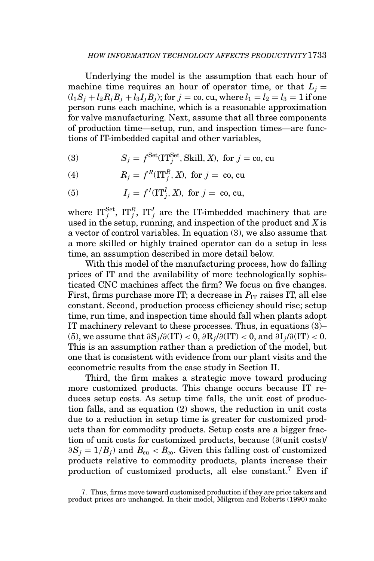Underlying the model is the assumption that each hour of machine time requires an hour of operator time, or that  $L_i =$  $(l_1S_i + l_2R_iB_i + l_3I_iB_i)$ ; for  $j = \text{co}, \text{cu}, \text{where } l_1 = l_2 = l_3 = 1$  if one person runs each machine, which is a reasonable approximation for valve manufacturing. Next, assume that all three components of production time—setup, run, and inspection times—are functions of IT-imbedded capital and other variables,

(3) 
$$
S_j = f^{\text{Set}}(\text{IT}_j^{\text{Set}}, \text{Skill}, X), \text{ for } j = \text{co}, \text{cu}
$$

(4) 
$$
R_j = f^R(\mathrm{IT}_j^R, X), \text{ for } j = \text{co, cu}
$$

(5) 
$$
I_j = f^I(\text{IT}_j^I, X)
$$
, for  $j = \text{co}, \text{cu}$ ,

where  $\text{IT}_j^{\text{Set}}, \ \text{IT}_j^R, \ \text{IT}_j^I$  are the IT-imbedded machinery that are used in the setup, running, and inspection of the product and *X* is a vector of control variables. In equation (3), we also assume that a more skilled or highly trained operator can do a setup in less time, an assumption described in more detail below.

With this model of the manufacturing process, how do falling prices of IT and the availability of more technologically sophisticated CNC machines affect the firm? We focus on five changes. First, firms purchase more IT; a decrease in  $P_{IT}$  raises IT, all else constant. Second, production process efficiency should rise; setup time, run time, and inspection time should fall when plants adopt IT machinery relevant to these processes. Thus, in equations (3)– (5), we assume that  $\partial S_j / \partial(\Gamma) < 0$ ,  $\partial R_j / \partial(\Gamma) < 0$ , and  $\partial I_j / \partial(\Gamma) < 0$ . This is an assumption rather than a prediction of the model, but one that is consistent with evidence from our plant visits and the econometric results from the case study in Section II.

Third, the firm makes a strategic move toward producing more customized products. This change occurs because IT reduces setup costs. As setup time falls, the unit cost of production falls, and as equation (2) shows, the reduction in unit costs due to a reduction in setup time is greater for customized products than for commodity products. Setup costs are a bigger fraction of unit costs for customized products, because (∂(unit costs)/  $\partial S_i = 1/B_i$  and  $B_{\rm cu} < B_{\rm co}$ . Given this falling cost of customized products relative to commodity products, plants increase their production of customized products, all else constant.7 Even if

<sup>7.</sup> Thus, firms move toward customized production if they are price takers and product prices are unchanged. In their model, Milgrom and Roberts (1990) make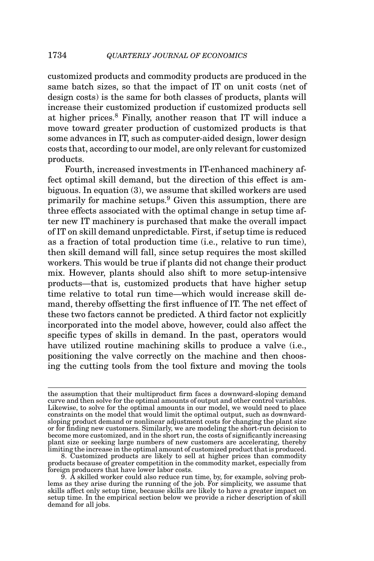customized products and commodity products are produced in the same batch sizes, so that the impact of IT on unit costs (net of design costs) is the same for both classes of products, plants will increase their customized production if customized products sell at higher prices.<sup>8</sup> Finally, another reason that IT will induce a move toward greater production of customized products is that some advances in IT, such as computer-aided design, lower design costs that, according to our model, are only relevant for customized products.

Fourth, increased investments in IT-enhanced machinery affect optimal skill demand, but the direction of this effect is ambiguous. In equation (3), we assume that skilled workers are used primarily for machine setups.<sup>9</sup> Given this assumption, there are three effects associated with the optimal change in setup time after new IT machinery is purchased that make the overall impact of IT on skill demand unpredictable. First, if setup time is reduced as a fraction of total production time (i.e., relative to run time), then skill demand will fall, since setup requires the most skilled workers. This would be true if plants did not change their product mix. However, plants should also shift to more setup-intensive products—that is, customized products that have higher setup time relative to total run time—which would increase skill demand, thereby offsetting the first influence of IT. The net effect of these two factors cannot be predicted. A third factor not explicitly incorporated into the model above, however, could also affect the specific types of skills in demand. In the past, operators would have utilized routine machining skills to produce a valve (i.e., positioning the valve correctly on the machine and then choosing the cutting tools from the tool fixture and moving the tools

the assumption that their multiproduct firm faces a downward-sloping demand curve and then solve for the optimal amounts of output and other control variables. Likewise, to solve for the optimal amounts in our model, we would need to place constraints on the model that would limit the optimal output, such as downwardsloping product demand or nonlinear adjustment costs for changing the plant size or for finding new customers. Similarly, we are modeling the short-run decision to become more customized, and in the short run, the costs of significantly increasing plant size or seeking large numbers of new customers are accelerating, thereby limiting the increase in the optimal amount of customized product that is produced.

<sup>8.</sup> Customized products are likely to sell at higher prices than commodity products because of greater competition in the commodity market, especially from foreign producers that have lower labor costs.

<sup>9.</sup> A skilled worker could also reduce run time, by, for example, solving problems as they arise during the running of the job. For simplicity, we assume that skills affect only setup time, because skills are likely to have a greater impact on setup time. In the empirical section below we provide a richer description of skill demand for all jobs.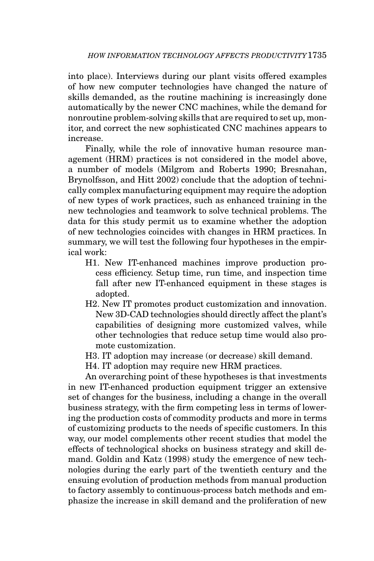into place). Interviews during our plant visits offered examples of how new computer technologies have changed the nature of skills demanded, as the routine machining is increasingly done automatically by the newer CNC machines, while the demand for nonroutine problem-solving skills that are required to set up, monitor, and correct the new sophisticated CNC machines appears to increase.

Finally, while the role of innovative human resource management (HRM) practices is not considered in the model above, a number of models (Milgrom and Roberts 1990; Bresnahan, Brynolfsson, and Hitt 2002) conclude that the adoption of technically complex manufacturing equipment may require the adoption of new types of work practices, such as enhanced training in the new technologies and teamwork to solve technical problems. The data for this study permit us to examine whether the adoption of new technologies coincides with changes in HRM practices. In summary, we will test the following four hypotheses in the empirical work:

- H1. New IT-enhanced machines improve production process efficiency. Setup time, run time, and inspection time fall after new IT-enhanced equipment in these stages is adopted.
- H2. New IT promotes product customization and innovation. New 3D-CAD technologies should directly affect the plant's capabilities of designing more customized valves, while other technologies that reduce setup time would also promote customization.
- H3. IT adoption may increase (or decrease) skill demand.
- H4. IT adoption may require new HRM practices.

An overarching point of these hypotheses is that investments in new IT-enhanced production equipment trigger an extensive set of changes for the business, including a change in the overall business strategy, with the firm competing less in terms of lowering the production costs of commodity products and more in terms of customizing products to the needs of specific customers. In this way, our model complements other recent studies that model the effects of technological shocks on business strategy and skill demand. Goldin and Katz (1998) study the emergence of new technologies during the early part of the twentieth century and the ensuing evolution of production methods from manual production to factory assembly to continuous-process batch methods and emphasize the increase in skill demand and the proliferation of new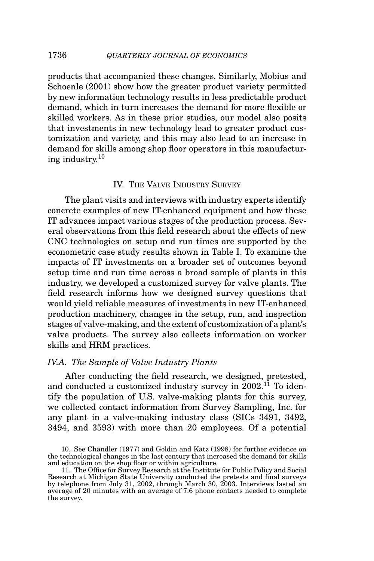products that accompanied these changes. Similarly, Mobius and Schoenle (2001) show how the greater product variety permitted by new information technology results in less predictable product demand, which in turn increases the demand for more flexible or skilled workers. As in these prior studies, our model also posits that investments in new technology lead to greater product customization and variety, and this may also lead to an increase in demand for skills among shop floor operators in this manufacturing industry.<sup>10</sup>

### IV. THE VALVE INDUSTRY SURVEY

The plant visits and interviews with industry experts identify concrete examples of new IT-enhanced equipment and how these IT advances impact various stages of the production process. Several observations from this field research about the effects of new CNC technologies on setup and run times are supported by the econometric case study results shown in Table I. To examine the impacts of IT investments on a broader set of outcomes beyond setup time and run time across a broad sample of plants in this industry, we developed a customized survey for valve plants. The field research informs how we designed survey questions that would yield reliable measures of investments in new IT-enhanced production machinery, changes in the setup, run, and inspection stages of valve-making, and the extent of customization of a plant's valve products. The survey also collects information on worker skills and HRM practices.

## *IV.A. The Sample of Valve Industry Plants*

After conducting the field research, we designed, pretested, and conducted a customized industry survey in 2002.<sup>11</sup> To identify the population of U.S. valve-making plants for this survey, we collected contact information from Survey Sampling, Inc. for any plant in a valve-making industry class (SICs 3491, 3492, 3494, and 3593) with more than 20 employees. Of a potential

<sup>10.</sup> See Chandler (1977) and Goldin and Katz (1998) for further evidence on the technological changes in the last century that increased the demand for skills and education on the shop floor or within agriculture.

<sup>11.</sup> The Office for Survey Research at the Institute for Public Policy and Social Research at Michigan State University conducted the pretests and final surveys by telephone from July 31, 2002, through March 30, 2003. Interviews lasted an average of 20 minutes with an average of 7.6 phone contacts needed to complete the survey.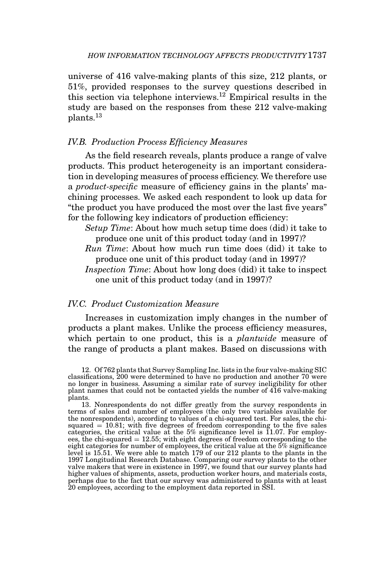universe of 416 valve-making plants of this size, 212 plants, or 51%, provided responses to the survey questions described in this section via telephone interviews.<sup>12</sup> Empirical results in the study are based on the responses from these 212 valve-making plants.13

#### *IV.B. Production Process Efficiency Measures*

As the field research reveals, plants produce a range of valve products. This product heterogeneity is an important consideration in developing measures of process efficiency. We therefore use a *product-specific* measure of efficiency gains in the plants' machining processes. We asked each respondent to look up data for "the product you have produced the most over the last five years" for the following key indicators of production efficiency:

*Setup Time*: About how much setup time does (did) it take to produce one unit of this product today (and in 1997)?

*Run Time*: About how much run time does (did) it take to produce one unit of this product today (and in 1997)?

*Inspection Time*: About how long does (did) it take to inspect one unit of this product today (and in 1997)?

## *IV.C. Product Customization Measure*

Increases in customization imply changes in the number of products a plant makes. Unlike the process efficiency measures, which pertain to one product, this is a *plantwide* measure of the range of products a plant makes. Based on discussions with

12. Of 762 plants that Survey Sampling Inc. lists in the four valve-making SIC classifications, 200 were determined to have no production and another 70 were no longer in business. Assuming a similar rate of survey ineligibility for other plant names that could not be contacted yields the number of 416 valve-making plants.

13. Nonrespondents do not differ greatly from the survey respondents in terms of sales and number of employees (the only two variables available for the nonrespondents), according to values of a chi-squared test. For sales squared = 10.81; with five degrees of freedom corresponding to the five sales<br>categories, the critical value at the  $5\%$  significance level is 11.07. For employ-<br>ees, the chi-squared = 12.55; with eight degrees of freedo eight categories for number of employees, the critical value at the 5% significance<br>level is 15.51. We were able to match 179 of our 212 plants to the plants in the<br>1997 Longitudinal Research Database. Comparing our survey higher values of shipments, assets, production worker hours, and materials costs, perhaps due to the fact that our survey was administered to plants with at least 20 employees, according to the employment data reported in SSI.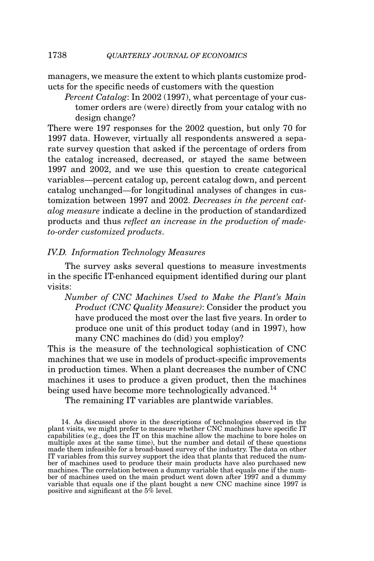managers, we measure the extent to which plants customize products for the specific needs of customers with the question

*Percent Catalog*: In 2002 (1997), what percentage of your customer orders are (were) directly from your catalog with no design change?

There were 197 responses for the 2002 question, but only 70 for 1997 data. However, virtually all respondents answered a separate survey question that asked if the percentage of orders from the catalog increased, decreased, or stayed the same between 1997 and 2002, and we use this question to create categorical variables—percent catalog up, percent catalog down, and percent catalog unchanged—for longitudinal analyses of changes in customization between 1997 and 2002. *Decreases in the percent catalog measure* indicate a decline in the production of standardized products and thus *reflect an increase in the production of madeto-order customized products*.

#### *IV.D. Information Technology Measures*

The survey asks several questions to measure investments in the specific IT-enhanced equipment identified during our plant visits:

*Number of CNC Machines Used to Make the Plant's Main Product (CNC Quality Measure)*: Consider the product you have produced the most over the last five years. In order to produce one unit of this product today (and in 1997), how many CNC machines do (did) you employ?

This is the measure of the technological sophistication of CNC machines that we use in models of product-specific improvements in production times. When a plant decreases the number of CNC machines it uses to produce a given product, then the machines being used have become more technologically advanced.<sup>14</sup>

The remaining IT variables are plantwide variables.

<sup>14.</sup> As discussed above in the descriptions of technologies observed in the plant visits, we might prefer to measure whether CNC machines have specific IT capabilities (e.g., does the IT on this machine allow the machine to bore holes on multiple axes at the same time), but the number and detail of these questions made them infeasible for a broad-based survey of the industry. The data on other IT variables from this survey support the idea that plants that reduced the number of machines used to produce their main products have also purchased new machines. The correlation between a dummy variable that equals one if the number of machines used on the main product went down after 1997 and a dummy variable that equals one if the plant bought a new CNC machine since 1997 is positive and significant at the 5% level.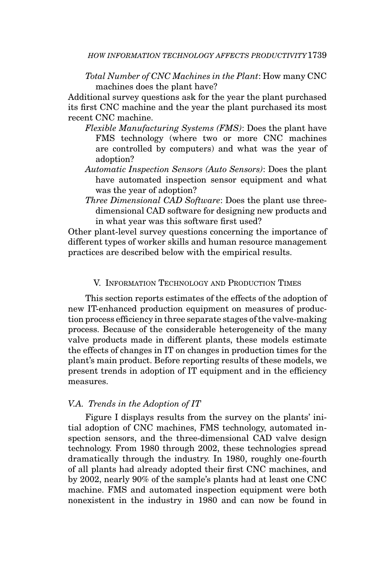*Total Number of CNC Machines in the Plant*: How many CNC machines does the plant have?

Additional survey questions ask for the year the plant purchased its first CNC machine and the year the plant purchased its most recent CNC machine.

- *Flexible Manufacturing Systems (FMS)*: Does the plant have FMS technology (where two or more CNC machines are controlled by computers) and what was the year of adoption?
- *Automatic Inspection Sensors (Auto Sensors)*: Does the plant have automated inspection sensor equipment and what was the year of adoption?
- *Three Dimensional CAD Software*: Does the plant use threedimensional CAD software for designing new products and in what year was this software first used?

Other plant-level survey questions concerning the importance of different types of worker skills and human resource management practices are described below with the empirical results.

### V. INFORMATION TECHNOLOGY AND PRODUCTION TIMES

This section reports estimates of the effects of the adoption of new IT-enhanced production equipment on measures of production process efficiency in three separate stages of the valve-making process. Because of the considerable heterogeneity of the many valve products made in different plants, these models estimate the effects of changes in IT on changes in production times for the plant's main product. Before reporting results of these models, we present trends in adoption of IT equipment and in the efficiency measures.

#### *V.A. Trends in the Adoption of IT*

Figure I displays results from the survey on the plants' initial adoption of CNC machines, FMS technology, automated inspection sensors, and the three-dimensional CAD valve design technology. From 1980 through 2002, these technologies spread dramatically through the industry. In 1980, roughly one-fourth of all plants had already adopted their first CNC machines, and by 2002, nearly 90% of the sample's plants had at least one CNC machine. FMS and automated inspection equipment were both nonexistent in the industry in 1980 and can now be found in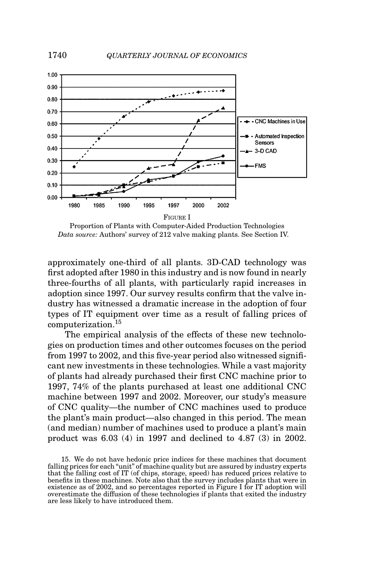

Proportion of Plants with Computer-Aided Production Technologies *Data source:* Authors' survey of 212 valve making plants. See Section IV.

approximately one-third of all plants. 3D-CAD technology was first adopted after 1980 in this industry and is now found in nearly three-fourths of all plants, with particularly rapid increases in adoption since 1997. Our survey results confirm that the valve industry has witnessed a dramatic increase in the adoption of four types of IT equipment over time as a result of falling prices of computerization.<sup>15</sup>

The empirical analysis of the effects of these new technologies on production times and other outcomes focuses on the period from 1997 to 2002, and this five-year period also witnessed significant new investments in these technologies. While a vast majority of plants had already purchased their first CNC machine prior to 1997, 74% of the plants purchased at least one additional CNC machine between 1997 and 2002. Moreover, our study's measure of CNC quality—the number of CNC machines used to produce the plant's main product—also changed in this period. The mean (and median) number of machines used to produce a plant's main product was 6.03 (4) in 1997 and declined to 4.87 (3) in 2002.

<sup>15.</sup> We do not have hedonic price indices for these machines that document falling prices for each "unit" of machine quality but are assured by industry experts that the falling cost of IT (of chips, storage, speed) has reduced prices relative to benefits in these machines. Note also that the survey includes plants that were in existence as of 2002, and so percentages reported in Figure I for IT adoption will overestimate the diffusion of these technologies if plants that exited the industry are less likely to have introduced them.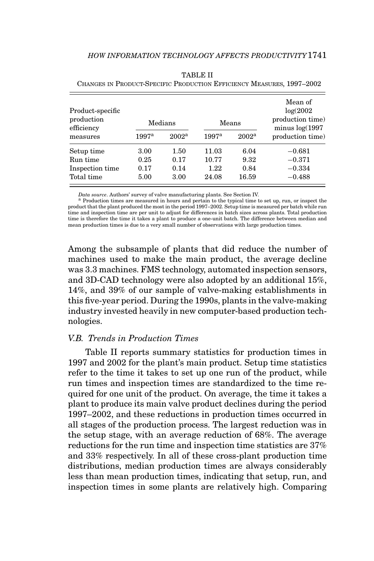| Product-specific<br>production<br>efficiency |                | Medians  |                   | Means             | Mean of<br>log(2002)<br>production time)<br>minus $log(1997)$ |
|----------------------------------------------|----------------|----------|-------------------|-------------------|---------------------------------------------------------------|
| measures                                     | $1997^{\rm a}$ | $2002^a$ | 1997 <sup>a</sup> | 2002 <sup>a</sup> | production time)                                              |
| Setup time                                   | 3.00           | 1.50     | 11.03             | 6.04              | $-0.681$                                                      |
| Run time                                     | 0.25           | 0.17     | 10.77             | 9.32              | $-0.371$                                                      |
| Inspection time                              | 0.17           | 0.14     | 1.22              | 0.84              | $-0.334$                                                      |
| Total time                                   | 5.00           | 3.00     | 24.08             | 16.59             | $-0.488$                                                      |

TABLE II CHANGES IN PRODUCT-SPECIFIC PRODUCTION EFFICIENCY MEASURES, 1997–2002

*Data source*. Authors' survey of valve manufacturing plants. See Section IV. **a** Production times are measured in hours and pertain to the typical time to set up, run, or inspect the product that the plant produced the most in the period 1997–2002. Setup time is measured per batch while run time and inspection time are per unit to adjust for differences in batch sizes across plants. Total production time is therefore the time it takes a plant to produce a one-unit batch. The difference between median and mean production times is due to a very small number of observations with large production times.

Among the subsample of plants that did reduce the number of machines used to make the main product, the average decline was 3.3 machines. FMS technology, automated inspection sensors, and 3D-CAD technology were also adopted by an additional 15%, 14%, and 39% of our sample of valve-making establishments in this five-year period. During the 1990s, plants in the valve-making industry invested heavily in new computer-based production technologies.

#### *V.B. Trends in Production Times*

Table II reports summary statistics for production times in 1997 and 2002 for the plant's main product. Setup time statistics refer to the time it takes to set up one run of the product, while run times and inspection times are standardized to the time required for one unit of the product. On average, the time it takes a plant to produce its main valve product declines during the period 1997–2002, and these reductions in production times occurred in all stages of the production process. The largest reduction was in the setup stage, with an average reduction of 68%. The average reductions for the run time and inspection time statistics are 37% and 33% respectively. In all of these cross-plant production time distributions, median production times are always considerably less than mean production times, indicating that setup, run, and inspection times in some plants are relatively high. Comparing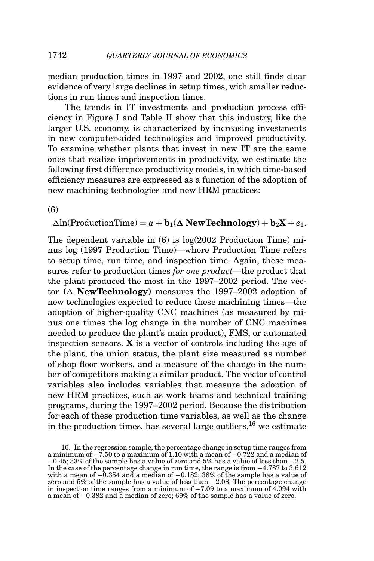median production times in 1997 and 2002, one still finds clear evidence of very large declines in setup times, with smaller reductions in run times and inspection times.

The trends in IT investments and production process efficiency in Figure I and Table II show that this industry, like the larger U.S. economy, is characterized by increasing investments in new computer-aided technologies and improved productivity. To examine whether plants that invest in new IT are the same ones that realize improvements in productivity, we estimate the following first difference productivity models, in which time-based efficiency measures are expressed as a function of the adoption of new machining technologies and new HRM practices:

(6)

 $\Delta \ln(\text{ProductionTime}) = a + \mathbf{b}_1(\mathbf{\Delta} \text{ NewTechnology}) + \mathbf{b}_2\mathbf{X} + e_1.$ 

The dependent variable in (6) is log(2002 Production Time) minus log (1997 Production Time)—where Production Time refers to setup time, run time, and inspection time. Again, these measures refer to production times *for one product—*the product that the plant produced the most in the 1997–2002 period. The vector  $(\triangle$  **NewTechnology**) measures the 1997–2002 adoption of new technologies expected to reduce these machining times—the adoption of higher-quality CNC machines (as measured by minus one times the log change in the number of CNC machines needed to produce the plant's main product), FMS, or automated inspection sensors. **X** is a vector of controls including the age of the plant, the union status, the plant size measured as number of shop floor workers, and a measure of the change in the number of competitors making a similar product. The vector of control variables also includes variables that measure the adoption of new HRM practices, such as work teams and technical training programs, during the 1997–2002 period. Because the distribution for each of these production time variables, as well as the change in the production times, has several large outliers,  $^{16}$  we estimate

<sup>16.</sup> In the regression sample, the percentage change in setup time ranges from a minimum of  $-7.50$  to a maximum of 1.10 with a mean of  $-0.722$  and a median of a minimum of <sup>−</sup>7.50 to a maximum of 1.10 with a mean of <sup>−</sup>0.722 and a median of <sup>−</sup>0.45; 33% of the sample has a value of zero and 5% has a value of less than <sup>−</sup>2.5. In the case of the percentage change in run time, the range is from  $-4.787$  to 3.612 with a mean of  $-0.354$  and a median of  $-0.182$ ; 38% of the sample has a value of zero and 5% of the sample has a value of less than a mean of −0.382 and a median of zero; 69% of the sample has a value of zero.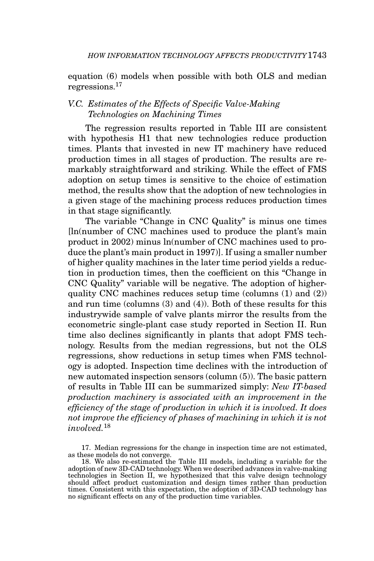equation (6) models when possible with both OLS and median regressions.<sup>17</sup>

# *V.C. Estimates of the Effects of Specific Valve-Making Technologies on Machining Times*

The regression results reported in Table III are consistent with hypothesis H1 that new technologies reduce production times. Plants that invested in new IT machinery have reduced production times in all stages of production. The results are remarkably straightforward and striking. While the effect of FMS adoption on setup times is sensitive to the choice of estimation method, the results show that the adoption of new technologies in a given stage of the machining process reduces production times in that stage significantly.

The variable "Change in CNC Quality" is minus one times [ln(number of CNC machines used to produce the plant's main product in 2002) minus ln(number of CNC machines used to produce the plant's main product in 1997)]. If using a smaller number of higher quality machines in the later time period yields a reduction in production times, then the coefficient on this "Change in CNC Quality" variable will be negative. The adoption of higherquality CNC machines reduces setup time (columns (1) and (2)) and run time (columns (3) and (4)). Both of these results for this industrywide sample of valve plants mirror the results from the econometric single-plant case study reported in Section II. Run time also declines significantly in plants that adopt FMS technology. Results from the median regressions, but not the OLS regressions, show reductions in setup times when FMS technology is adopted. Inspection time declines with the introduction of new automated inspection sensors (column (5)). The basic pattern of results in Table III can be summarized simply: *New IT-based production machinery is associated with an improvement in the efficiency of the stage of production in which it is involved. It does not improve the efficiency of phases of machining in which it is not involved.*<sup>18</sup>

17. Median regressions for the change in inspection time are not estimated, as these models do not converge.

<sup>18.</sup> We also re-estimated the Table III models, including a variable for the adoption of new 3D-CAD technology. When we described advances in valve-making technologies in Section II, we hypothesized that this valve design technology should affect product customization and design times rather than production times. Consistent with this expectation, the adoption of 3D-CAD technology has no significant effects on any of the production time variables.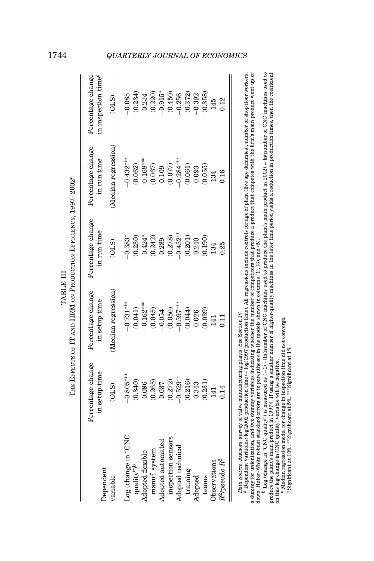| $\mathop{\mathrm{Dependent}}$ | Percentage change<br>in setup time | Percentage change<br>in setup time | Percentage change<br>in run time | Percentage change<br>in run time                          | Percentage change<br>n inspection time <sup>c</sup> |
|-------------------------------|------------------------------------|------------------------------------|----------------------------------|-----------------------------------------------------------|-----------------------------------------------------|
| variable                      | (01S)                              | Median regression                  | (01S)                            | Median regression                                         | OLS)                                                |
| Log (change in "CNC           | $-0.805***$                        | $-0.731***$                        | $-0.383*$                        | $-0.432***$                                               | 0.085                                               |
| quality") <sup>b</sup>        | (0.340)                            | (0.041)                            | (0.230)                          | (0.062)                                                   | (0.234)                                             |
| Adopted flexible              | 0.096                              | $-0.162***$                        | $-0.424*$                        | $-0.168***$                                               | 0.234                                               |
| manuf. system                 | (0.265)                            | (0.045)                            | (0.242)                          |                                                           | (0.220)                                             |
| Adopted automated             | 0.037                              | $-0.054$                           | 0.289                            |                                                           | $-0.915*$                                           |
| inspection sensors            | (0.272)                            | (0.050)                            | (0.278)                          | $\begin{array}{c} (0.067) \\ 0.109 \\ 0.077) \end{array}$ | (0.450)                                             |
| Adopted technical             | $-0.529**$                         | $-0.597***$                        | $-0.452**$                       | $-0.284***$                                               | $-0.256$                                            |
| training                      | (0.216)                            | (0.044)                            | (0.201)                          | (0.061)                                                   | (0.372)                                             |
| Adopted                       | 0.343                              | 0.026                              | 0.240                            | 0.093                                                     | $-0.392$                                            |
| teams                         | (0.231)                            | (0.039)                            | (0.190)                          | (0.055)                                                   | (0.358)                                             |
| Observations                  | 141                                | 141                                | 134                              | 134                                                       | 145                                                 |
| $R^2$ /pseudo $R^2$           | 14                                 |                                    | 0.25                             | 0.16                                                      | 0.12                                                |

THE EFFECTS OF IT AND HRM ON PRODUCTION EFFICIENCY, 1997-2002<sup>a</sup> EFFICIENCY, 1997–2002a PRODUCTION TABLE III TABLE III EFFECTS OF IT AND HRM ON

<sup>a</sup> Dependent variables: log(2002 production time) – log(1997 production time). All regressions include controls for age of plant (five age dummies), number of shop floor workers, a dummy for unionization, and two dummy v *Data Source.* Authors' survey of valve manufacturing plants. See Section IV.<br><sup>a</sup> Dependent variables: log(2002 production time) – log(1997 production time). All regressions include controls for age of plant (five age dumm a dummy for unionization, and two dummy variables indicating whether the number of competitors that produce a product that competes with the firm's main product went up or down. Huber-White robust standard errors are in parentheses in the models shown in columns  $(1)$ ,  $(3)$ , and  $(5)$ .

<sup>b</sup> Log (change in "CNC quality") is measured as (-1) · [In(number of CNC machines used to produce the plant's main product in 2002) - In(number of CNC machines used to produce the plant's main product in 1997). It using a smaller number of higher-quality machines in the later time period yields a reduction in production times, then the coefficient down. Huber-White robust standard errors are in parentheses in the models shown in columns (1), (3), and (5).<br><sup>b</sup> Log (change in "CNC quality") is measured as (–1) · [In(number of CNC machines used to produce the plant's m produce the plant's main product in 1997)]. If using a smaller number of higher-quality machines in the later time period yields a reduction in production times, then the coefficient on this log(change in CNC quality) variable will be negative.

on this log(change in CNC quality) variable will be negative.<br><sup>c</sup> Median regression model for change in inspection time did not converge. <sup>c</sup> Median regression model for change in inspection time did not converge.

\*Significant at 10%. \*\*Significant at  $5\%$ . \*\*\*Significant at 1%.

∗Significant at 10%. ∗∗Significant at 5%. ∗∗∗Significant at 1%.

# 1744 *QUARTERLY JOURNAL OF ECONOMICS*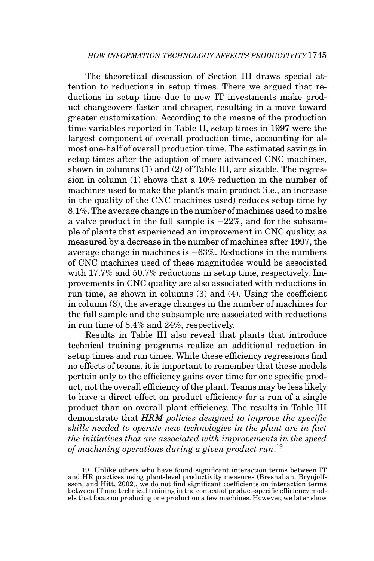The theoretical discussion of Section III draws special attention to reductions in setup times. There we argued that reductions in setup time due to new IT investments make product changeovers faster and cheaper, resulting in a move toward greater customization. According to the means of the production time variables reported in Table II, setup times in 1997 were the largest component of overall production time, accounting for almost one-half of overall production time. The estimated savings in setup times after the adoption of more advanced CNC machines, shown in columns (1) and (2) of Table III, are sizable. The regression in column (1) shows that a 10% reduction in the number of machines used to make the plant's main product (i.e., an increase in the quality of the CNC machines used) reduces setup time by 8.1%. The average change in the number of machines used to make a valve product in the full sample is −22%, and for the subsample of plants that experienced an improvement in CNC quality, as measured by a decrease in the number of machines after 1997, the average change in machines is −63%. Reductions in the numbers of CNC machines used of these magnitudes would be associated with 17.7% and 50.7% reductions in setup time, respectively. Improvements in CNC quality are also associated with reductions in run time, as shown in columns (3) and (4). Using the coefficient in column (3), the average changes in the number of machines for the full sample and the subsample are associated with reductions in run time of 8.4% and 24%, respectively.

Results in Table III also reveal that plants that introduce technical training programs realize an additional reduction in setup times and run times. While these efficiency regressions find no effects of teams, it is important to remember that these models pertain only to the efficiency gains over time for one specific product, not the overall efficiency of the plant. Teams may be less likely to have a direct effect on product efficiency for a run of a single product than on overall plant efficiency. The results in Table III demonstrate that *HRM policies designed to improve the specific skills needed to operate new technologies in the plant are in fact the initiatives that are associated with improvements in the speed of machining operations during a given product run*. 19

<sup>19.</sup> Unlike others who have found significant interaction terms between IT and HR practices using plant-level productivity measures (Bresnahan, Brynjolfsson, and Hitt, 2002), we do not find significant coefficients on interaction terms between IT and technical training in the context of product-specific efficiency mod-els that focus on producing one product on a few machines. However, we later show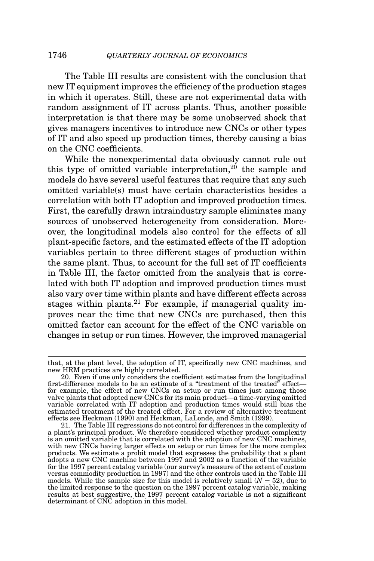The Table III results are consistent with the conclusion that new IT equipment improves the efficiency of the production stages in which it operates. Still, these are not experimental data with random assignment of IT across plants. Thus, another possible interpretation is that there may be some unobserved shock that gives managers incentives to introduce new CNCs or other types of IT and also speed up production times, thereby causing a bias on the CNC coefficients.

While the nonexperimental data obviously cannot rule out this type of omitted variable interpretation,<sup>20</sup> the sample and models do have several useful features that require that any such omitted variable(s) must have certain characteristics besides a correlation with both IT adoption and improved production times. First, the carefully drawn intraindustry sample eliminates many sources of unobserved heterogeneity from consideration. Moreover, the longitudinal models also control for the effects of all plant-specific factors, and the estimated effects of the IT adoption variables pertain to three different stages of production within the same plant. Thus, to account for the full set of IT coefficients in Table III, the factor omitted from the analysis that is correlated with both IT adoption and improved production times must also vary over time within plants and have different effects across stages within plants.<sup>21</sup> For example, if managerial quality improves near the time that new CNCs are purchased, then this omitted factor can account for the effect of the CNC variable on changes in setup or run times. However, the improved managerial

that, at the plant level, the adoption of IT, specifically new CNC machines, and new HRM practices are highly correlated.

<sup>20.</sup> Even if one only considers the coefficient estimates from the longitudinal first-difference models to be an estimate of a "treatment of the treated" effect— for example, the effect of new CNCs on setup or run times just among those valve plants that adopted new CNCs for its main product—a time-varying omitted variable correlated with IT adoption and production times would still bias the<br>estimated treatment of the treated effect. For a review of alternative treatment<br>effects see Heckman (1990) and Heckman, LaLonde, and Smith (19

<sup>21.</sup> The Table III regressions do not control for differences in the complexity of a plant's principal product. We therefore considered whether product complexity is an omitted variable that is correlated with the adoption of new CNC machines, with new CNCs having larger effects on setup or run times for the more complex products. We estimate a probit model that expresses the probability that a plant adopts a new CNC machine between 1997 and 2002 as a function of the variable for the 1997 percent catalog variable (our survey's measure of the extent of custom versus commodity production in 1997) and the other controls used in the Table III models. While the sample size for this model is relatively small (*N* = 52), due to the limited response to the question on the 1997 percent catalog variable, making results at best suggestive, the 1997 percent catalog variable is not a significant determinant of CNC adoption in this model.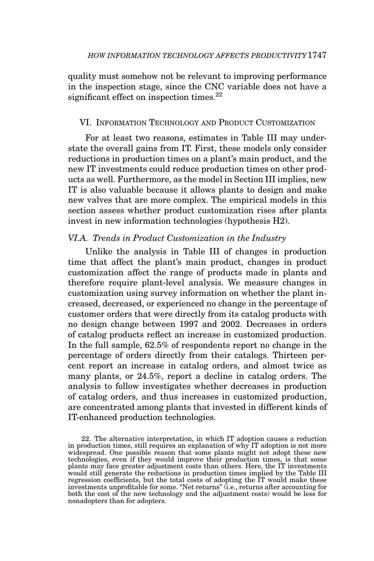quality must somehow not be relevant to improving performance in the inspection stage, since the CNC variable does not have a significant effect on inspection times.<sup>22</sup>

# VI. INFORMATION TECHNOLOGY AND PRODUCT CUSTOMIZATION

For at least two reasons, estimates in Table III may understate the overall gains from IT. First, these models only consider reductions in production times on a plant's main product, and the new IT investments could reduce production times on other products as well. Furthermore, as the model in Section III implies, new IT is also valuable because it allows plants to design and make new valves that are more complex. The empirical models in this section assess whether product customization rises after plants invest in new information technologies (hypothesis H2).

# *VI.A. Trends in Product Customization in the Industry*

Unlike the analysis in Table III of changes in production time that affect the plant's main product, changes in product customization affect the range of products made in plants and therefore require plant-level analysis. We measure changes in customization using survey information on whether the plant increased, decreased, or experienced no change in the percentage of customer orders that were directly from its catalog products with no design change between 1997 and 2002. Decreases in orders of catalog products reflect an increase in customized production. In the full sample, 62.5% of respondents report no change in the percentage of orders directly from their catalogs. Thirteen percent report an increase in catalog orders, and almost twice as many plants, or 24.5%, report a decline in catalog orders. The analysis to follow investigates whether decreases in production of catalog orders, and thus increases in customized production, are concentrated among plants that invested in different kinds of IT-enhanced production technologies.

<sup>22.</sup> The alternative interpretation, in which IT adoption causes a reduction in production times, still requires an explanation of why IT adoption is not more widespread. One possible reason that some plants might not adopt these new technologies, even if they would improve their production times, is that some plants may face greater adjustment costs than others. Here, the IT investments would still generate the reductions in production times implied by the Table III regression coefficients, but the total costs of adopting the IT would make these investments unprofitable for some. "Net returns" (i.e., returns after accounting for both the cost of the new technology and the adjustment costs) would be less for nonadopters than for adopters.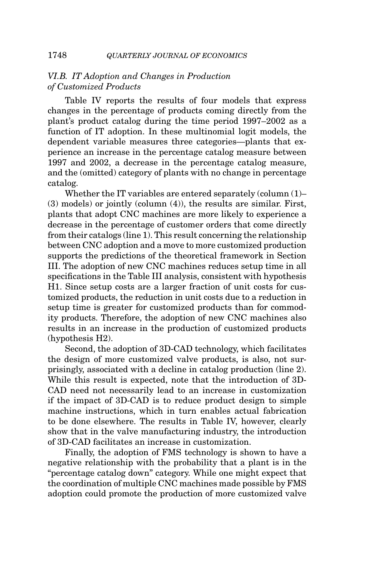# *VI.B. IT Adoption and Changes in Production of Customized Products*

Table IV reports the results of four models that express changes in the percentage of products coming directly from the plant's product catalog during the time period 1997–2002 as a function of IT adoption. In these multinomial logit models, the dependent variable measures three categories—plants that experience an increase in the percentage catalog measure between 1997 and 2002, a decrease in the percentage catalog measure, and the (omitted) category of plants with no change in percentage catalog.

Whether the IT variables are entered separately (column (1)– (3) models) or jointly (column (4)), the results are similar. First, plants that adopt CNC machines are more likely to experience a decrease in the percentage of customer orders that come directly from their catalogs (line 1). This result concerning the relationship between CNC adoption and a move to more customized production supports the predictions of the theoretical framework in Section III. The adoption of new CNC machines reduces setup time in all specifications in the Table III analysis, consistent with hypothesis H1. Since setup costs are a larger fraction of unit costs for customized products, the reduction in unit costs due to a reduction in setup time is greater for customized products than for commodity products. Therefore, the adoption of new CNC machines also results in an increase in the production of customized products (hypothesis H2).

Second, the adoption of 3D-CAD technology, which facilitates the design of more customized valve products, is also, not surprisingly, associated with a decline in catalog production (line 2). While this result is expected, note that the introduction of 3D-CAD need not necessarily lead to an increase in customization if the impact of 3D-CAD is to reduce product design to simple machine instructions, which in turn enables actual fabrication to be done elsewhere. The results in Table IV, however, clearly show that in the valve manufacturing industry, the introduction of 3D-CAD facilitates an increase in customization.

Finally, the adoption of FMS technology is shown to have a negative relationship with the probability that a plant is in the "percentage catalog down" category. While one might expect that the coordination of multiple CNC machines made possible by FMS adoption could promote the production of more customized valve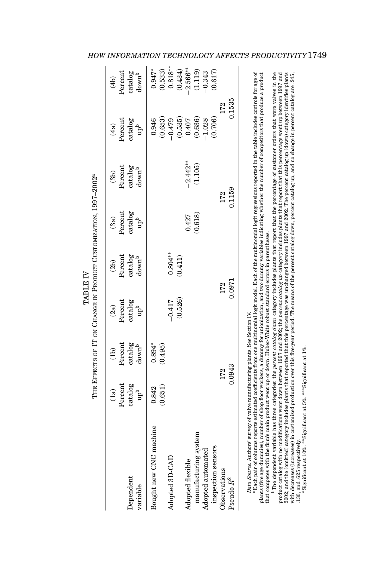|                                                                                                                                                                                                                                                                                                                                                                                                                                                                                                                                                                                    |                                                              |                                                           | THE EFFECTS OF IT ON CHANGE IN PRODUCT CUSTOMIZATION, 1997-2002 <sup>ª</sup><br>TABLE IV |                                                 |                                  |                                                            |                                              |                                                 |
|------------------------------------------------------------------------------------------------------------------------------------------------------------------------------------------------------------------------------------------------------------------------------------------------------------------------------------------------------------------------------------------------------------------------------------------------------------------------------------------------------------------------------------------------------------------------------------|--------------------------------------------------------------|-----------------------------------------------------------|------------------------------------------------------------------------------------------|-------------------------------------------------|----------------------------------|------------------------------------------------------------|----------------------------------------------|-------------------------------------------------|
| Dependent<br>variable                                                                                                                                                                                                                                                                                                                                                                                                                                                                                                                                                              | Percent<br>$\rm{catalog}$<br>$\overline{\mathrm{d}}$ a)<br>q | catalog<br>Percent<br>down <sup>b</sup><br>$\overline{d}$ | catalog<br>Percent<br>(2a)<br>$q^{\text{th}}$                                            | catalog<br>down <sup>b</sup><br>Percent<br>(2b) | Percent<br>catalog<br>pp<br>(3a) | Percent<br>catalog<br>down <sup>b</sup><br>$\overline{3b}$ | catalog<br>Percent<br>(4a)<br>$q^{\text{d}}$ | catalog<br>Percent<br>down <sup>b</sup><br>(4b) |
| Bought new CNC machine                                                                                                                                                                                                                                                                                                                                                                                                                                                                                                                                                             | (0.651)<br>0.842                                             | $0.894*$<br>(0.495)                                       |                                                                                          |                                                 |                                  |                                                            | (0.653)<br>0.946                             | $0.947*$<br>(0.533)                             |
| Adopted 3D-CAD                                                                                                                                                                                                                                                                                                                                                                                                                                                                                                                                                                     |                                                              |                                                           | (0.526)<br>$-0.417$                                                                      | $0.804***$<br>(0.411)                           |                                  |                                                            | (0.535)<br>$-0.479$                          | $0.818^{\ast\ast}$<br>(0.434)                   |
| Adopted flexible                                                                                                                                                                                                                                                                                                                                                                                                                                                                                                                                                                   |                                                              |                                                           |                                                                                          |                                                 | (0.618)<br>0.427                 | $-2.442**$<br>(1.105)                                      | 0.407                                        | 2.566**<br>(1.119)                              |
| manufacturing system<br>Adopted automated                                                                                                                                                                                                                                                                                                                                                                                                                                                                                                                                          |                                                              |                                                           |                                                                                          |                                                 |                                  |                                                            | (0.636)<br>$-1.028$                          | $-0.343$                                        |
| inspection sensors<br>Observations                                                                                                                                                                                                                                                                                                                                                                                                                                                                                                                                                 |                                                              | 172                                                       | 172                                                                                      |                                                 |                                  | 172                                                        | 172<br>(0.706)                               | (0.617)                                         |
| Pseudo $R^2$                                                                                                                                                                                                                                                                                                                                                                                                                                                                                                                                                                       |                                                              | 0.0943                                                    | 0.0971                                                                                   |                                                 |                                  | 0.1159                                                     | 0.1535                                       |                                                 |
| <sup>a</sup> Bach pair of columns reports estimated coefficients from one multinomial logit model. Bach of the multinomial logit regressions reported in the table includes controls for age of<br>plants (five age dummies), number of shop floor workers, a dummy for unionization, and two dummy variables indicating whether the number of competitors that produce a product<br>that competes with the firm's main product went up or down. Huber-White robust standard errors in parentheses.<br>Data Source. Authors' survey of valve manufacturing plants. See Section IV. |                                                              |                                                           |                                                                                          |                                                 | $\ddot{\phantom{a}}$             |                                                            |                                              |                                                 |

<sup>b</sup>The dependent variable has three categories: the *percent catalog down* category includes plants that report that the percentage of customer orders that were valves in the pool and the control of the state of the state that competes with the firm's main product went up or down. Huber-White robust standard errors in parentheses.<br><sup>h</sup>The dependent variable has three categories: the *perent catulog down* category includes plants that report product catalog with no modifications went down between 1997 and 2002; the *percent catalog up* category includes plants that report that this percentage went up between 1997 and 2002; and the (omitted) category includes plants that reported that this percentage was unchanged between 1997 and 2002. The percent catalog up (down) category identifies plants with decreases (increases) in customized production over this five-year period. The means of the percent catalog down, percent catalog up, and no change in percent catalog are .245,

130, and 625 respectively. <br>
"Significant at 10%. <br>
"Significant at 5%. <br>
"Significant at 12%. <br>
"Significant at 12%. <br>
"Significant at 12%. <br>
"Significant at 12%. <br>
"Significant at 12%. <br>
"Significant at 12%. <br>
"Signific .130, and .625 respectively.  $*$  \*Significant at 5%.  $***$ Significant at 1%.  $*$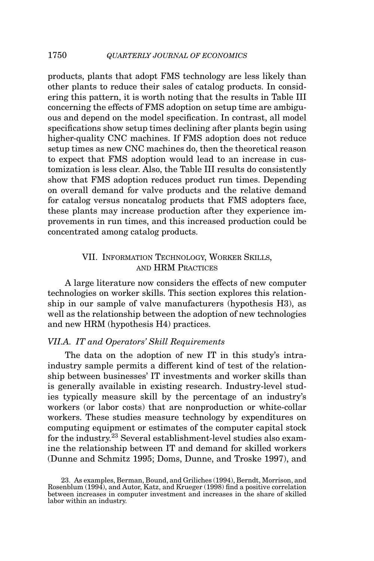products, plants that adopt FMS technology are less likely than other plants to reduce their sales of catalog products. In considering this pattern, it is worth noting that the results in Table III concerning the effects of FMS adoption on setup time are ambiguous and depend on the model specification. In contrast, all model specifications show setup times declining after plants begin using higher-quality CNC machines. If FMS adoption does not reduce setup times as new CNC machines do, then the theoretical reason to expect that FMS adoption would lead to an increase in customization is less clear. Also, the Table III results do consistently show that FMS adoption reduces product run times. Depending on overall demand for valve products and the relative demand for catalog versus noncatalog products that FMS adopters face, these plants may increase production after they experience improvements in run times, and this increased production could be concentrated among catalog products.

# VII. INFORMATION TECHNOLOGY, WORKER SKILLS, AND HRM PRACTICES

A large literature now considers the effects of new computer technologies on worker skills. This section explores this relationship in our sample of valve manufacturers (hypothesis H3), as well as the relationship between the adoption of new technologies and new HRM (hypothesis H4) practices.

### *VII.A. IT and Operators' Skill Requirements*

The data on the adoption of new IT in this study's intraindustry sample permits a different kind of test of the relationship between businesses' IT investments and worker skills than is generally available in existing research. Industry-level studies typically measure skill by the percentage of an industry's workers (or labor costs) that are nonproduction or white-collar workers. These studies measure technology by expenditures on computing equipment or estimates of the computer capital stock for the industry.<sup>23</sup> Several establishment-level studies also examine the relationship between IT and demand for skilled workers (Dunne and Schmitz 1995; Doms, Dunne, and Troske 1997), and

<sup>23.</sup> As examples, Berman, Bound, and Griliches (1994), Berndt, Morrison, and Rosenblum (1994), and Autor, Katz, and Krueger (1998) find a positive correlation between increases in computer investment and increases in the share of skilled labor within an industry.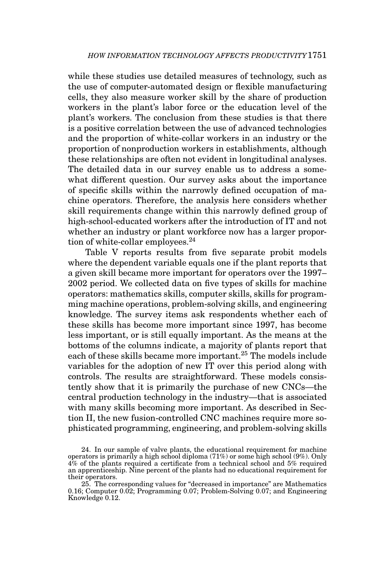while these studies use detailed measures of technology, such as the use of computer-automated design or flexible manufacturing cells, they also measure worker skill by the share of production workers in the plant's labor force or the education level of the plant's workers. The conclusion from these studies is that there is a positive correlation between the use of advanced technologies and the proportion of white-collar workers in an industry or the proportion of nonproduction workers in establishments, although these relationships are often not evident in longitudinal analyses. The detailed data in our survey enable us to address a somewhat different question. Our survey asks about the importance of specific skills within the narrowly defined occupation of machine operators. Therefore, the analysis here considers whether skill requirements change within this narrowly defined group of high-school-educated workers after the introduction of IT and not whether an industry or plant workforce now has a larger proportion of white-collar employees.<sup>24</sup>

Table V reports results from five separate probit models where the dependent variable equals one if the plant reports that a given skill became more important for operators over the 1997– 2002 period. We collected data on five types of skills for machine operators: mathematics skills, computer skills, skills for programming machine operations, problem-solving skills, and engineering knowledge. The survey items ask respondents whether each of these skills has become more important since 1997, has become less important, or is still equally important. As the means at the bottoms of the columns indicate, a majority of plants report that each of these skills became more important.<sup>25</sup> The models include variables for the adoption of new IT over this period along with controls. The results are straightforward. These models consistently show that it is primarily the purchase of new CNCs—the central production technology in the industry—that is associated with many skills becoming more important. As described in Section II, the new fusion-controlled CNC machines require more sophisticated programming, engineering, and problem-solving skills

<sup>24.</sup> In our sample of valve plants, the educational requirement for machine operators is primarily a high school diploma (71%) or some high school (9%). Only 4% of the plants required a certificate from a technical school and 5% required an apprenticeship. Nine percent of the plants had no educational requirement for their operators.

<sup>25.</sup> The corresponding values for "decreased in importance" are Mathematics 0.16; Computer 0.02; Programming 0.07; Problem-Solving 0.07; and Engineering Knowledge 0.12.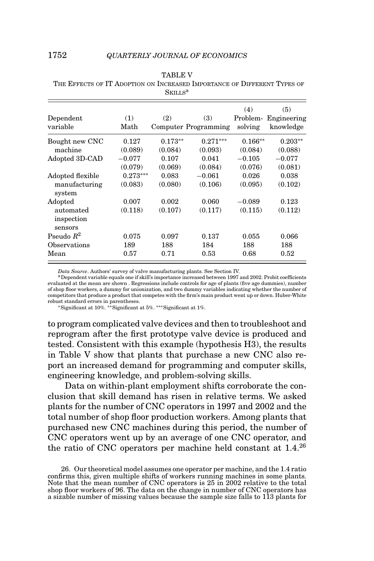| Dependent<br>variable                         | (1)<br>Math           | (2)                  | (3)<br>Computer Programming | (4)<br>Problem-<br>solving | (5)<br>Engineering<br>knowledge |
|-----------------------------------------------|-----------------------|----------------------|-----------------------------|----------------------------|---------------------------------|
| Bought new CNC<br>machine                     | 0.127<br>(0.089)      | $0.173**$<br>(0.084) | $0.271***$<br>(0.093)       | $0.166**$<br>(0.084)       | $0.203**$<br>(0.088)            |
| Adopted 3D-CAD                                | $-0.077$<br>(0.079)   | 0.107<br>(0.069)     | 0.041<br>(0.084)            | $-0.105$<br>(0.076)        | $-0.077$<br>(0.081)             |
| Adopted flexible<br>manufacturing<br>system   | $0.273***$<br>(0.083) | 0.083<br>(0.080)     | $-0.061$<br>(0.106)         | 0.026<br>(0.095)           | 0.038<br>(0.102)                |
| Adopted<br>automated<br>inspection<br>sensors | 0.007<br>(0.118)      | 0.002<br>(0.107)     | 0.060<br>(0.117)            | $-0.089$<br>(0.115)        | 0.123<br>(0.112)                |
| Pseudo $R^2$                                  | 0.075                 | 0.097                | 0.137                       | 0.055                      | 0.066                           |
| Observations<br>Mean                          | 189<br>0.57           | 188<br>0.71          | 184<br>0.53                 | 188<br>0.68                | 188<br>0.52                     |

| <b>TABLE V</b>                                                           |
|--------------------------------------------------------------------------|
| THE EFFECTS OF IT ADOPTION ON INCREASED IMPORTANCE OF DIFFERENT TYPES OF |
| SKILLS <sup>a</sup>                                                      |

*Data Source*. Authors' survey of valve manufacturing plants. See Section IV.<br><sup>a</sup>Dependent variable equals one if skill's importance increased between 1997 and 2002. Probit coefficients evaluated at the mean are shown . Regressions include controls for age of plants (five age dummies), number of shop floor workers, a dummy for unionization, and two dummy variables indicating whether the number of competitors that produce a product that competes with the firm's main product went up or down. Huber-White robust standard errors in parentheses.

∗Significant at 10%. ∗∗Significant at 5%. ∗∗∗Significant at 1%.

to program complicated valve devices and then to troubleshoot and reprogram after the first prototype valve device is produced and tested. Consistent with this example (hypothesis H3), the results in Table V show that plants that purchase a new CNC also report an increased demand for programming and computer skills, engineering knowledge, and problem-solving skills.

Data on within-plant employment shifts corroborate the conclusion that skill demand has risen in relative terms. We asked plants for the number of CNC operators in 1997 and 2002 and the total number of shop floor production workers. Among plants that purchased new CNC machines during this period, the number of CNC operators went up by an average of one CNC operator, and the ratio of CNC operators per machine held constant at 1.4.<sup>26</sup>

<sup>26.</sup> Our theoretical model assumes one operator per machine, and the 1.4 ratio confirms this, given multiple shifts of workers running machines in some plants. Note that the mean number of CNC operators is 25 in 2002 relative to the total shop floor workers of 96. The data on the change in number of CNC operators has a sizable number of missing values because the sample size falls to 113 plants for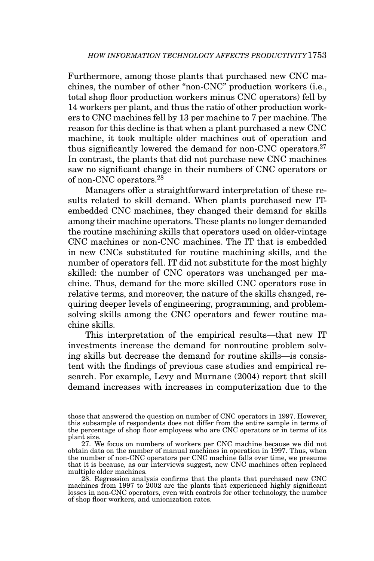Furthermore, among those plants that purchased new CNC machines, the number of other "non-CNC" production workers (i.e., total shop floor production workers minus CNC operators) fell by 14 workers per plant, and thus the ratio of other production workers to CNC machines fell by 13 per machine to 7 per machine. The reason for this decline is that when a plant purchased a new CNC machine, it took multiple older machines out of operation and thus significantly lowered the demand for non-CNC operators. $27$ In contrast, the plants that did not purchase new CNC machines saw no significant change in their numbers of CNC operators or of non-CNC operators.<sup>28</sup>

Managers offer a straightforward interpretation of these results related to skill demand. When plants purchased new ITembedded CNC machines, they changed their demand for skills among their machine operators. These plants no longer demanded the routine machining skills that operators used on older-vintage CNC machines or non-CNC machines. The IT that is embedded in new CNCs substituted for routine machining skills, and the number of operators fell. IT did not substitute for the most highly skilled: the number of CNC operators was unchanged per machine. Thus, demand for the more skilled CNC operators rose in relative terms, and moreover, the nature of the skills changed, requiring deeper levels of engineering, programming, and problemsolving skills among the CNC operators and fewer routine machine skills.

This interpretation of the empirical results—that new IT investments increase the demand for nonroutine problem solving skills but decrease the demand for routine skills—is consistent with the findings of previous case studies and empirical research. For example, Levy and Murnane (2004) report that skill demand increases with increases in computerization due to the

those that answered the question on number of CNC operators in 1997. However, this subsample of respondents does not differ from the entire sample in terms of the percentage of shop floor employees who are CNC operators or in terms of its plant size.

<sup>27.</sup> We focus on numbers of workers per CNC machine because we did not obtain data on the number of manual machines in operation in 1997. Thus, when the number of non-CNC operators per CNC machine falls over time, we presume that it is because, as our interviews suggest, new CNC machines often replaced multiple older machines.

<sup>28.</sup> Regression analysis confirms that the plants that purchased new CNC machines from 1997 to 2002 are the plants that experienced highly significant losses in non-CNC operators, even with controls for other technology, the number of shop floor workers, and unionization rates.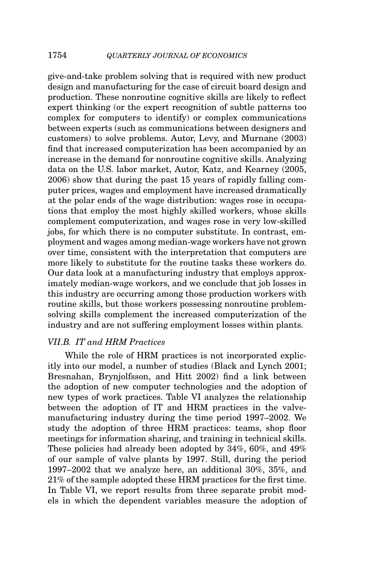give-and-take problem solving that is required with new product design and manufacturing for the case of circuit board design and production. These nonroutine cognitive skills are likely to reflect expert thinking (or the expert recognition of subtle patterns too complex for computers to identify) or complex communications between experts (such as communications between designers and customers) to solve problems. Autor, Levy, and Murnane (2003) find that increased computerization has been accompanied by an increase in the demand for nonroutine cognitive skills. Analyzing data on the U.S. labor market, Autor, Katz, and Kearney (2005, 2006) show that during the past 15 years of rapidly falling computer prices, wages and employment have increased dramatically at the polar ends of the wage distribution: wages rose in occupations that employ the most highly skilled workers, whose skills complement computerization, and wages rose in very low-skilled jobs, for which there is no computer substitute. In contrast, employment and wages among median-wage workers have not grown over time, consistent with the interpretation that computers are more likely to substitute for the routine tasks these workers do. Our data look at a manufacturing industry that employs approximately median-wage workers, and we conclude that job losses in this industry are occurring among those production workers with routine skills, but those workers possessing nonroutine problemsolving skills complement the increased computerization of the industry and are not suffering employment losses within plants.

# *VII.B. IT and HRM Practices*

While the role of HRM practices is not incorporated explicitly into our model, a number of studies (Black and Lynch 2001; Bresnahan, Brynjolfsson, and Hitt 2002) find a link between the adoption of new computer technologies and the adoption of new types of work practices. Table VI analyzes the relationship between the adoption of IT and HRM practices in the valvemanufacturing industry during the time period 1997–2002. We study the adoption of three HRM practices: teams, shop floor meetings for information sharing, and training in technical skills. These policies had already been adopted by 34%, 60%, and 49% of our sample of valve plants by 1997. Still, during the period 1997–2002 that we analyze here, an additional 30%, 35%, and 21% of the sample adopted these HRM practices for the first time. In Table VI, we report results from three separate probit models in which the dependent variables measure the adoption of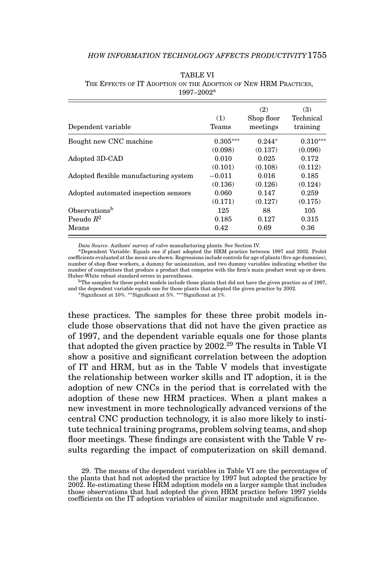#### *HOW INFORMATION TECHNOLOGY AFFECTS PRODUCTIVITY*1755

| Dependent variable                    | (1)<br>Teams | (2)<br>Shop floor<br>meetings | (3)<br>Technical<br>training |
|---------------------------------------|--------------|-------------------------------|------------------------------|
| Bought new CNC machine                | $0.305***$   | $0.244*$                      | $0.310***$                   |
|                                       | (0.098)      | (0.137)                       | (0.096)                      |
| Adopted 3D-CAD                        | 0.010        | 0.025                         | 0.172                        |
|                                       | (0.101)      | (0.108)                       | (0.112)                      |
| Adopted flexible manufacturing system | $-0.011$     | 0.016                         | 0.185                        |
|                                       | (0.136)      | (0.126)                       | (0.124)                      |
| Adopted automated inspection sensors  | 0.060        | 0.147                         | 0.259                        |
|                                       | (0.171)      | (0.127)                       | (0.175)                      |
| Observations <sup>b</sup>             | 125          | 88                            | 105                          |
| Pseudo $R^2$                          | 0.185        | 0.127                         | 0.315                        |
| Means                                 | 0.42         | 0.69                          | 0.36                         |

| <b>TABLE VI</b>                                                  |  |
|------------------------------------------------------------------|--|
| THE EFFECTS OF IT ADOPTION ON THE ADOPTION OF NEW HRM PRACTICES. |  |
| $1997 - 2002^a$                                                  |  |

*Data Source*. Authors' survey of valve manufacturing plants. See Section IV.<br><sup>a</sup>Dependent Variable: Equals one if plant adopted the HRM practice between 1997 and 2002. Probit coefficients evaluated at the mean are shown. Regressions include controls for age of plants (five age dummies), number of shop floor workers, a dummy for unionization, and two dummy variables indicating whether the number of competitors that produce a product that competes with the firm's main product went up or down. Huber-White robust standard errors in parentheses.

 $b$ The samples for these probit models include those plants that did not have the given practice as of 1997, and the dependent variable equals one for those plants that adopted the given practice by 2002. ∗Significant at 10%. ∗∗Significant at 5%. ∗∗∗Significant at 1%.

these practices. The samples for these three probit models include those observations that did not have the given practice as of 1997, and the dependent variable equals one for those plants that adopted the given practice by 2002.29 The results in Table VI show a positive and significant correlation between the adoption of IT and HRM, but as in the Table V models that investigate the relationship between worker skills and IT adoption, it is the adoption of new CNCs in the period that is correlated with the adoption of these new HRM practices. When a plant makes a new investment in more technologically advanced versions of the central CNC production technology, it is also more likely to institute technical training programs, problem solving teams, and shop floor meetings. These findings are consistent with the Table V results regarding the impact of computerization on skill demand.

<sup>29.</sup> The means of the dependent variables in Table VI are the percentages of the plants that had not adopted the practice by 1997 but adopted the practice by 2002. Re-estimating these HRM adoption models on a larger sample that includes those observations that had adopted the given HRM practice before 1997 yields coefficients on the IT adoption variables of similar magnitude and significance.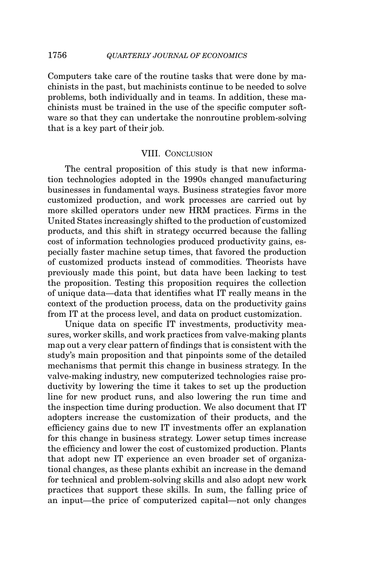Computers take care of the routine tasks that were done by machinists in the past, but machinists continue to be needed to solve problems, both individually and in teams. In addition, these machinists must be trained in the use of the specific computer software so that they can undertake the nonroutine problem-solving that is a key part of their job.

#### VIII. CONCLUSION

The central proposition of this study is that new information technologies adopted in the 1990s changed manufacturing businesses in fundamental ways. Business strategies favor more customized production, and work processes are carried out by more skilled operators under new HRM practices. Firms in the United States increasingly shifted to the production of customized products, and this shift in strategy occurred because the falling cost of information technologies produced productivity gains, especially faster machine setup times, that favored the production of customized products instead of commodities. Theorists have previously made this point, but data have been lacking to test the proposition. Testing this proposition requires the collection of unique data—data that identifies what IT really means in the context of the production process, data on the productivity gains from IT at the process level, and data on product customization.

Unique data on specific IT investments, productivity measures, worker skills, and work practices from valve-making plants map out a very clear pattern of findings that is consistent with the study's main proposition and that pinpoints some of the detailed mechanisms that permit this change in business strategy. In the valve-making industry, new computerized technologies raise productivity by lowering the time it takes to set up the production line for new product runs, and also lowering the run time and the inspection time during production. We also document that IT adopters increase the customization of their products, and the efficiency gains due to new IT investments offer an explanation for this change in business strategy. Lower setup times increase the efficiency and lower the cost of customized production. Plants that adopt new IT experience an even broader set of organizational changes, as these plants exhibit an increase in the demand for technical and problem-solving skills and also adopt new work practices that support these skills. In sum, the falling price of an input—the price of computerized capital—not only changes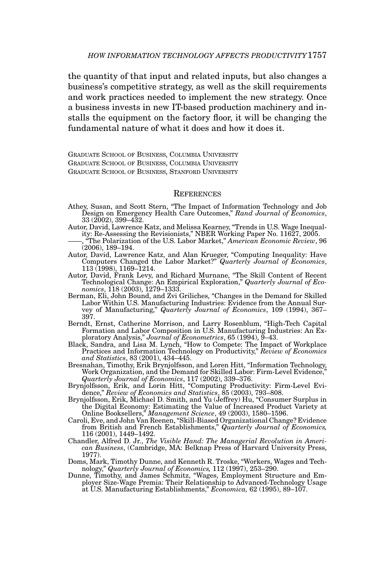the quantity of that input and related inputs, but also changes a business's competitive strategy, as well as the skill requirements and work practices needed to implement the new strategy. Once a business invests in new IT-based production machinery and installs the equipment on the factory floor, it will be changing the fundamental nature of what it does and how it does it.

GRADUATE SCHOOL OF BUSINESS, COLUMBIA UNIVERSITY GRADUATE SCHOOL OF BUSINESS, COLUMBIA UNIVERSITY GRADUATE SCHOOL OF BUSINESS, STANFORD UNIVERSITY

#### **REFERENCES**

- Athey, Susan, and Scott Stern, "The Impact of Information Technology and Job Design on Emergency Health Care Outcomes," *Rand Journal of Economics*, 33 (2002), 399–432.
- Autor, David, Lawrence Katz, and Melissa Kearney, "Trends in U.S. Wage Inequality: Re-Assessing the Revisionists," NBER Working Paper No. 11627, 2005.
- ——, "The Polarization of the U.S. Labor Market," *American Economic Review*, 96 (2006), 189–194.
- Autor, David, Lawrence Katz, and Alan Krueger, "Computing Inequality: Have Computers Changed the Labor Market?" *Quarterly Journal of Economics*, 113 (1998), 1169–1214.
- Autor, David, Frank Levy, and Richard Murnane, "The Skill Content of Recent Technological Change: An Empirical Exploration," *Quarterly Journal of Economics*, 118 (2003), 1279–1333.
- Berman, Eli, John Bound, and Zvi Griliches, "Changes in the Demand for Skilled Labor Within U.S. Manufacturing Industries: Evidence from the Annual Sur-vey of Manufacturing," *Quarterly Journal of Economics*, 109 (1994), 367– 397.
- Berndt, Ernst, Catherine Morrison, and Larry Rosenblum, "High-Tech Capital Formation and Labor Composition in U.S. Manufacturing Industries: An Exploratory Analysis," *Journal of Econometrics*, 65 (1994), 9–43.
- Black, Sandra, and Lisa M. Lynch, "How to Compete: The Impact of Workplace Practices and Information Technology on Productivity," *Review of Economics and Statistics*, 83 (2001), 434–445.
- Bresnahan, Timothy, Erik Brynjolfsson, and Loren Hitt, "Information Technology, Work Organization, and the Demand for Skilled Labor: Firm-Level Evidence," *Quarterly Journal of Economics*, 117 (2002), 339–376.
- Brynjolfsson, Erik, and Lorin Hitt, "Computing Productivity: Firm-Level Evidence," Review of Economics and Statistics, 85 (2003), 793–808.<br>Brynjolfsson, Erik, Michael D. Smith, and Yu (Jeffrey) Hu, "Consumer Surplus in
- the Digital Economy: Estimating the Value of Increased Product Variety at Online Booksellers," *Management Science*, 49 (2003), 1580–1596.
- Caroli, Eve, and John Van Reenen, "Skill-Biased Organizational Change? Evidence from British and French Establishments," *Quarterly Journal of Economics,* 116 (2001), 1449–1492.
- Chandler, Alfred D. Jr., *The Visible Hand: The Managerial Revolution in Ameri-can Business*, (Cambridge, MA: Belknap Press of Harvard University Press, 1977).
- Doms, Mark, Timothy Dunne, and Kenneth R. Troske, "Workers, Wages and Technology," *Quarterly Journal of Economics,* 112 (1997), 253–290.
- Dunne, Timothy, and James Schmitz, "Wages, Employment Structure and Employer Size-Wage Premia: Their Relationship to Advanced-Technology Usage at U.S. Manufacturing Establishments," *Economica,* 62 (1995), 89–107.